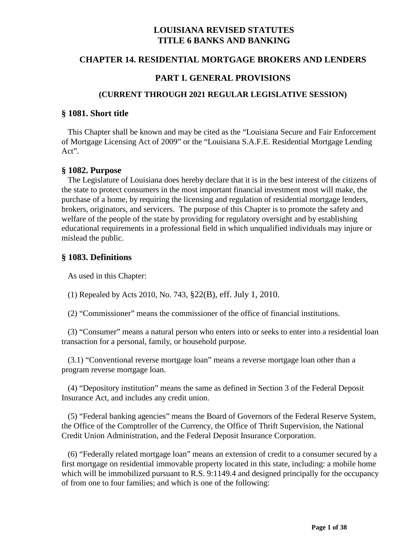# **LOUISIANA REVISED STATUTES TITLE 6 BANKS AND BANKING**

### **CHAPTER 14. RESIDENTIAL MORTGAGE BROKERS AND LENDERS**

### **PART I. GENERAL PROVISIONS**

#### **(CURRENT THROUGH 2021 REGULAR LEGISLATIVE SESSION)**

#### **§ 1081. Short title**

 This Chapter shall be known and may be cited as the "Louisiana Secure and Fair Enforcement of Mortgage Licensing Act of 2009" or the "Louisiana S.A.F.E. Residential Mortgage Lending Act".

#### **§ 1082. Purpose**

 The Legislature of Louisiana does hereby declare that it is in the best interest of the citizens of the state to protect consumers in the most important financial investment most will make, the purchase of a home, by requiring the licensing and regulation of residential mortgage lenders, brokers, originators, and servicers. The purpose of this Chapter is to promote the safety and welfare of the people of the state by providing for regulatory oversight and by establishing educational requirements in a professional field in which unqualified individuals may injure or mislead the public.

### **§ 1083. Definitions**

As used in this Chapter:

(1) Repealed by Acts 2010, No. 743, §22(B), eff. July 1, 2010.

(2) "Commissioner" means the commissioner of the office of financial institutions.

 (3) "Consumer" means a natural person who enters into or seeks to enter into a residential loan transaction for a personal, family, or household purpose.

 (3.1) "Conventional reverse mortgage loan" means a reverse mortgage loan other than a program reverse mortgage loan.

 (4) "Depository institution" means the same as defined in Section 3 of the Federal Deposit Insurance Act, and includes any credit union.

 (5) "Federal banking agencies" means the Board of Governors of the Federal Reserve System, the Office of the Comptroller of the Currency, the Office of Thrift Supervision, the National Credit Union Administration, and the Federal Deposit Insurance Corporation.

 (6) "Federally related mortgage loan" means an extension of credit to a consumer secured by a first mortgage on residential immovable property located in this state, including: a mobile home which will be immobilized pursuant to R.S. 9:1149.4 and designed principally for the occupancy of from one to four families; and which is one of the following: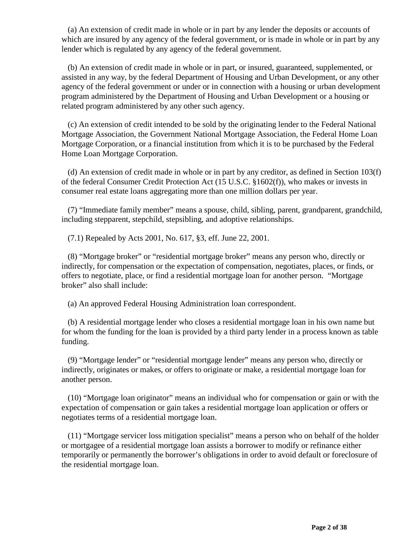(a) An extension of credit made in whole or in part by any lender the deposits or accounts of which are insured by any agency of the federal government, or is made in whole or in part by any lender which is regulated by any agency of the federal government.

 (b) An extension of credit made in whole or in part, or insured, guaranteed, supplemented, or assisted in any way, by the federal Department of Housing and Urban Development, or any other agency of the federal government or under or in connection with a housing or urban development program administered by the Department of Housing and Urban Development or a housing or related program administered by any other such agency.

 (c) An extension of credit intended to be sold by the originating lender to the Federal National Mortgage Association, the Government National Mortgage Association, the Federal Home Loan Mortgage Corporation, or a financial institution from which it is to be purchased by the Federal Home Loan Mortgage Corporation.

 (d) An extension of credit made in whole or in part by any creditor, as defined in Section 103(f) of the federal Consumer Credit Protection Act (15 U.S.C. §1602(f)), who makes or invests in consumer real estate loans aggregating more than one million dollars per year.

 (7) "Immediate family member" means a spouse, child, sibling, parent, grandparent, grandchild, including stepparent, stepchild, stepsibling, and adoptive relationships.

(7.1) Repealed by Acts 2001, No. 617, §3, eff. June 22, 2001.

 (8) "Mortgage broker" or "residential mortgage broker" means any person who, directly or indirectly, for compensation or the expectation of compensation, negotiates, places, or finds, or offers to negotiate, place, or find a residential mortgage loan for another person. "Mortgage broker" also shall include:

(a) An approved Federal Housing Administration loan correspondent.

 (b) A residential mortgage lender who closes a residential mortgage loan in his own name but for whom the funding for the loan is provided by a third party lender in a process known as table funding.

 (9) "Mortgage lender" or "residential mortgage lender" means any person who, directly or indirectly, originates or makes, or offers to originate or make, a residential mortgage loan for another person.

 (10) "Mortgage loan originator" means an individual who for compensation or gain or with the expectation of compensation or gain takes a residential mortgage loan application or offers or negotiates terms of a residential mortgage loan.

 (11) "Mortgage servicer loss mitigation specialist" means a person who on behalf of the holder or mortgagee of a residential mortgage loan assists a borrower to modify or refinance either temporarily or permanently the borrower's obligations in order to avoid default or foreclosure of the residential mortgage loan.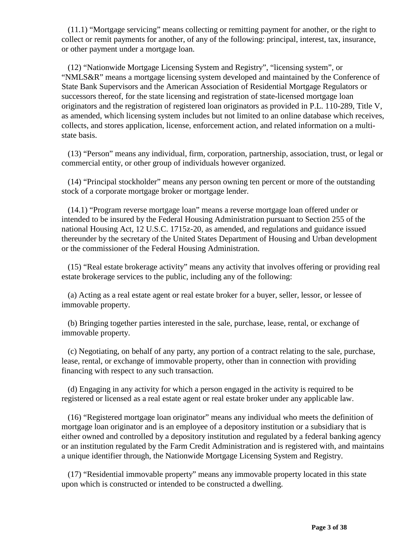(11.1) "Mortgage servicing" means collecting or remitting payment for another, or the right to collect or remit payments for another, of any of the following: principal, interest, tax, insurance, or other payment under a mortgage loan.

 (12) "Nationwide Mortgage Licensing System and Registry", "licensing system", or "NMLS&R" means a mortgage licensing system developed and maintained by the Conference of State Bank Supervisors and the American Association of Residential Mortgage Regulators or successors thereof, for the state licensing and registration of state-licensed mortgage loan originators and the registration of registered loan originators as provided in P.L. 110-289, Title V, as amended, which licensing system includes but not limited to an online database which receives, collects, and stores application, license, enforcement action, and related information on a multistate basis.

 (13) "Person" means any individual, firm, corporation, partnership, association, trust, or legal or commercial entity, or other group of individuals however organized.

 (14) "Principal stockholder" means any person owning ten percent or more of the outstanding stock of a corporate mortgage broker or mortgage lender.

 (14.1) "Program reverse mortgage loan" means a reverse mortgage loan offered under or intended to be insured by the Federal Housing Administration pursuant to Section 255 of the national Housing Act, 12 U.S.C. 1715z-20, as amended, and regulations and guidance issued thereunder by the secretary of the United States Department of Housing and Urban development or the commissioner of the Federal Housing Administration.

 (15) "Real estate brokerage activity" means any activity that involves offering or providing real estate brokerage services to the public, including any of the following:

 (a) Acting as a real estate agent or real estate broker for a buyer, seller, lessor, or lessee of immovable property.

 (b) Bringing together parties interested in the sale, purchase, lease, rental, or exchange of immovable property.

 (c) Negotiating, on behalf of any party, any portion of a contract relating to the sale, purchase, lease, rental, or exchange of immovable property, other than in connection with providing financing with respect to any such transaction.

 (d) Engaging in any activity for which a person engaged in the activity is required to be registered or licensed as a real estate agent or real estate broker under any applicable law.

 (16) "Registered mortgage loan originator" means any individual who meets the definition of mortgage loan originator and is an employee of a depository institution or a subsidiary that is either owned and controlled by a depository institution and regulated by a federal banking agency or an institution regulated by the Farm Credit Administration and is registered with, and maintains a unique identifier through, the Nationwide Mortgage Licensing System and Registry.

 (17) "Residential immovable property" means any immovable property located in this state upon which is constructed or intended to be constructed a dwelling.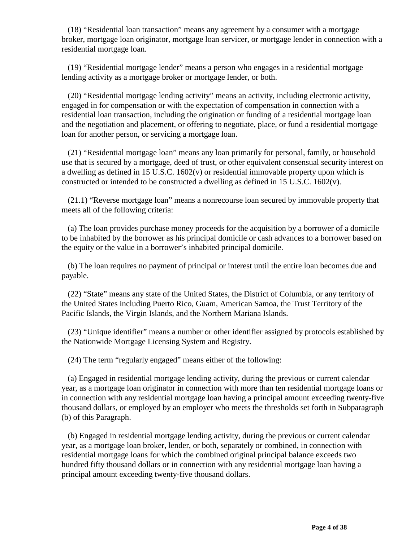(18) "Residential loan transaction" means any agreement by a consumer with a mortgage broker, mortgage loan originator, mortgage loan servicer, or mortgage lender in connection with a residential mortgage loan.

 (19) "Residential mortgage lender" means a person who engages in a residential mortgage lending activity as a mortgage broker or mortgage lender, or both.

 (20) "Residential mortgage lending activity" means an activity, including electronic activity, engaged in for compensation or with the expectation of compensation in connection with a residential loan transaction, including the origination or funding of a residential mortgage loan and the negotiation and placement, or offering to negotiate, place, or fund a residential mortgage loan for another person, or servicing a mortgage loan.

 (21) "Residential mortgage loan" means any loan primarily for personal, family, or household use that is secured by a mortgage, deed of trust, or other equivalent consensual security interest on a dwelling as defined in 15 U.S.C. 1602(v) or residential immovable property upon which is constructed or intended to be constructed a dwelling as defined in 15 U.S.C. 1602(v).

 (21.1) "Reverse mortgage loan" means a nonrecourse loan secured by immovable property that meets all of the following criteria:

 (a) The loan provides purchase money proceeds for the acquisition by a borrower of a domicile to be inhabited by the borrower as his principal domicile or cash advances to a borrower based on the equity or the value in a borrower's inhabited principal domicile.

 (b) The loan requires no payment of principal or interest until the entire loan becomes due and payable.

 (22) "State" means any state of the United States, the District of Columbia, or any territory of the United States including Puerto Rico, Guam, American Samoa, the Trust Territory of the Pacific Islands, the Virgin Islands, and the Northern Mariana Islands.

 (23) "Unique identifier" means a number or other identifier assigned by protocols established by the Nationwide Mortgage Licensing System and Registry.

(24) The term "regularly engaged" means either of the following:

 (a) Engaged in residential mortgage lending activity, during the previous or current calendar year, as a mortgage loan originator in connection with more than ten residential mortgage loans or in connection with any residential mortgage loan having a principal amount exceeding twenty-five thousand dollars, or employed by an employer who meets the thresholds set forth in Subparagraph (b) of this Paragraph.

 (b) Engaged in residential mortgage lending activity, during the previous or current calendar year, as a mortgage loan broker, lender, or both, separately or combined, in connection with residential mortgage loans for which the combined original principal balance exceeds two hundred fifty thousand dollars or in connection with any residential mortgage loan having a principal amount exceeding twenty-five thousand dollars.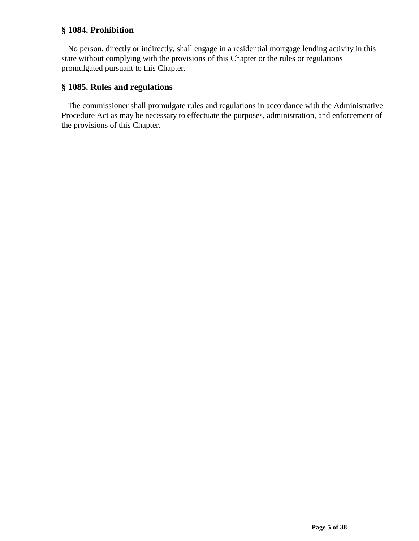# **§ 1084. Prohibition**

 No person, directly or indirectly, shall engage in a residential mortgage lending activity in this state without complying with the provisions of this Chapter or the rules or regulations promulgated pursuant to this Chapter.

# **§ 1085. Rules and regulations**

 The commissioner shall promulgate rules and regulations in accordance with the Administrative Procedure Act as may be necessary to effectuate the purposes, administration, and enforcement of the provisions of this Chapter.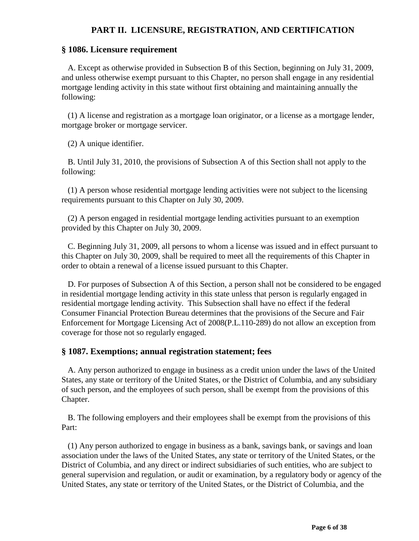# **PART II. LICENSURE, REGISTRATION, AND CERTIFICATION**

#### **§ 1086. Licensure requirement**

 A. Except as otherwise provided in Subsection B of this Section, beginning on July 31, 2009, and unless otherwise exempt pursuant to this Chapter, no person shall engage in any residential mortgage lending activity in this state without first obtaining and maintaining annually the following:

 (1) A license and registration as a mortgage loan originator, or a license as a mortgage lender, mortgage broker or mortgage servicer.

(2) A unique identifier.

 B. Until July 31, 2010, the provisions of Subsection A of this Section shall not apply to the following:

 (1) A person whose residential mortgage lending activities were not subject to the licensing requirements pursuant to this Chapter on July 30, 2009.

 (2) A person engaged in residential mortgage lending activities pursuant to an exemption provided by this Chapter on July 30, 2009.

 C. Beginning July 31, 2009, all persons to whom a license was issued and in effect pursuant to this Chapter on July 30, 2009, shall be required to meet all the requirements of this Chapter in order to obtain a renewal of a license issued pursuant to this Chapter.

 D. For purposes of Subsection A of this Section, a person shall not be considered to be engaged in residential mortgage lending activity in this state unless that person is regularly engaged in residential mortgage lending activity. This Subsection shall have no effect if the federal Consumer Financial Protection Bureau determines that the provisions of the Secure and Fair Enforcement for Mortgage Licensing Act of 2008(P.L.110-289) do not allow an exception from coverage for those not so regularly engaged.

### **§ 1087. Exemptions; annual registration statement; fees**

 A. Any person authorized to engage in business as a credit union under the laws of the United States, any state or territory of the United States, or the District of Columbia, and any subsidiary of such person, and the employees of such person, shall be exempt from the provisions of this Chapter.

 B. The following employers and their employees shall be exempt from the provisions of this Part:

 (1) Any person authorized to engage in business as a bank, savings bank, or savings and loan association under the laws of the United States, any state or territory of the United States, or the District of Columbia, and any direct or indirect subsidiaries of such entities, who are subject to general supervision and regulation, or audit or examination, by a regulatory body or agency of the United States, any state or territory of the United States, or the District of Columbia, and the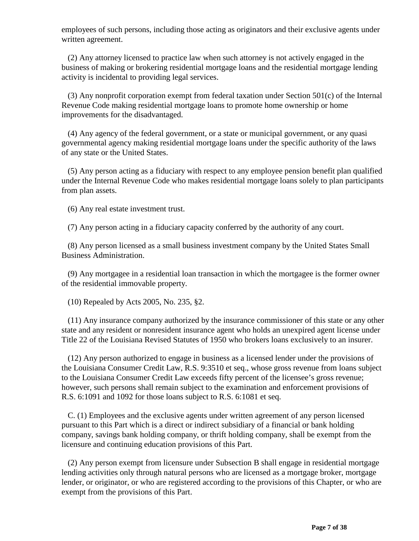employees of such persons, including those acting as originators and their exclusive agents under written agreement.

 (2) Any attorney licensed to practice law when such attorney is not actively engaged in the business of making or brokering residential mortgage loans and the residential mortgage lending activity is incidental to providing legal services.

 (3) Any nonprofit corporation exempt from federal taxation under Section 501(c) of the Internal Revenue Code making residential mortgage loans to promote home ownership or home improvements for the disadvantaged.

 (4) Any agency of the federal government, or a state or municipal government, or any quasi governmental agency making residential mortgage loans under the specific authority of the laws of any state or the United States.

 (5) Any person acting as a fiduciary with respect to any employee pension benefit plan qualified under the Internal Revenue Code who makes residential mortgage loans solely to plan participants from plan assets.

(6) Any real estate investment trust.

(7) Any person acting in a fiduciary capacity conferred by the authority of any court.

 (8) Any person licensed as a small business investment company by the United States Small Business Administration.

 (9) Any mortgagee in a residential loan transaction in which the mortgagee is the former owner of the residential immovable property.

(10) Repealed by Acts 2005, No. 235, §2.

 (11) Any insurance company authorized by the insurance commissioner of this state or any other state and any resident or nonresident insurance agent who holds an unexpired agent license under Title 22 of the Louisiana Revised Statutes of 1950 who brokers loans exclusively to an insurer.

 (12) Any person authorized to engage in business as a licensed lender under the provisions of the Louisiana Consumer Credit Law, R.S. 9:3510 et seq., whose gross revenue from loans subject to the Louisiana Consumer Credit Law exceeds fifty percent of the licensee's gross revenue; however, such persons shall remain subject to the examination and enforcement provisions of R.S. 6:1091 and 1092 for those loans subject to R.S. 6:1081 et seq.

 C. (1) Employees and the exclusive agents under written agreement of any person licensed pursuant to this Part which is a direct or indirect subsidiary of a financial or bank holding company, savings bank holding company, or thrift holding company, shall be exempt from the licensure and continuing education provisions of this Part.

 (2) Any person exempt from licensure under Subsection B shall engage in residential mortgage lending activities only through natural persons who are licensed as a mortgage broker, mortgage lender, or originator, or who are registered according to the provisions of this Chapter, or who are exempt from the provisions of this Part.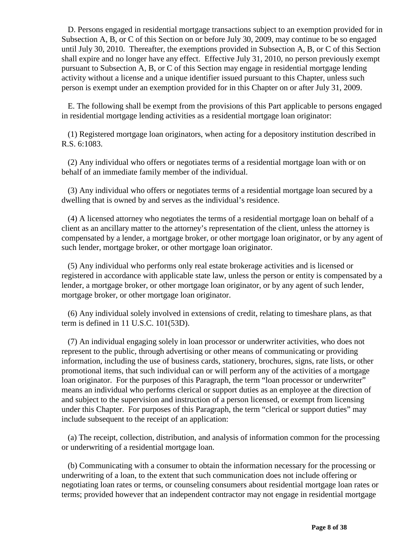D. Persons engaged in residential mortgage transactions subject to an exemption provided for in Subsection A, B, or C of this Section on or before July 30, 2009, may continue to be so engaged until July 30, 2010. Thereafter, the exemptions provided in Subsection A, B, or C of this Section shall expire and no longer have any effect. Effective July 31, 2010, no person previously exempt pursuant to Subsection A, B, or C of this Section may engage in residential mortgage lending activity without a license and a unique identifier issued pursuant to this Chapter, unless such person is exempt under an exemption provided for in this Chapter on or after July 31, 2009.

 E. The following shall be exempt from the provisions of this Part applicable to persons engaged in residential mortgage lending activities as a residential mortgage loan originator:

 (1) Registered mortgage loan originators, when acting for a depository institution described in R.S. 6:1083.

 (2) Any individual who offers or negotiates terms of a residential mortgage loan with or on behalf of an immediate family member of the individual.

 (3) Any individual who offers or negotiates terms of a residential mortgage loan secured by a dwelling that is owned by and serves as the individual's residence.

 (4) A licensed attorney who negotiates the terms of a residential mortgage loan on behalf of a client as an ancillary matter to the attorney's representation of the client, unless the attorney is compensated by a lender, a mortgage broker, or other mortgage loan originator, or by any agent of such lender, mortgage broker, or other mortgage loan originator.

 (5) Any individual who performs only real estate brokerage activities and is licensed or registered in accordance with applicable state law, unless the person or entity is compensated by a lender, a mortgage broker, or other mortgage loan originator, or by any agent of such lender, mortgage broker, or other mortgage loan originator.

 (6) Any individual solely involved in extensions of credit, relating to timeshare plans, as that term is defined in 11 U.S.C. 101(53D).

 (7) An individual engaging solely in loan processor or underwriter activities, who does not represent to the public, through advertising or other means of communicating or providing information, including the use of business cards, stationery, brochures, signs, rate lists, or other promotional items, that such individual can or will perform any of the activities of a mortgage loan originator. For the purposes of this Paragraph, the term "loan processor or underwriter" means an individual who performs clerical or support duties as an employee at the direction of and subject to the supervision and instruction of a person licensed, or exempt from licensing under this Chapter. For purposes of this Paragraph, the term "clerical or support duties" may include subsequent to the receipt of an application:

 (a) The receipt, collection, distribution, and analysis of information common for the processing or underwriting of a residential mortgage loan.

 (b) Communicating with a consumer to obtain the information necessary for the processing or underwriting of a loan, to the extent that such communication does not include offering or negotiating loan rates or terms, or counseling consumers about residential mortgage loan rates or terms; provided however that an independent contractor may not engage in residential mortgage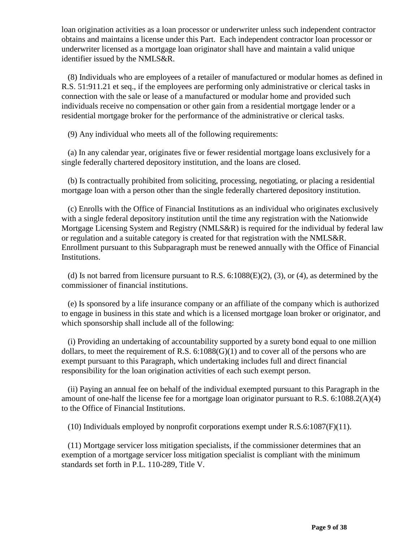loan origination activities as a loan processor or underwriter unless such independent contractor obtains and maintains a license under this Part. Each independent contractor loan processor or underwriter licensed as a mortgage loan originator shall have and maintain a valid unique identifier issued by the NMLS&R.

 (8) Individuals who are employees of a retailer of manufactured or modular homes as defined in R.S. 51:911.21 et seq., if the employees are performing only administrative or clerical tasks in connection with the sale or lease of a manufactured or modular home and provided such individuals receive no compensation or other gain from a residential mortgage lender or a residential mortgage broker for the performance of the administrative or clerical tasks.

(9) Any individual who meets all of the following requirements:

 (a) In any calendar year, originates five or fewer residential mortgage loans exclusively for a single federally chartered depository institution, and the loans are closed.

 (b) Is contractually prohibited from soliciting, processing, negotiating, or placing a residential mortgage loan with a person other than the single federally chartered depository institution.

 (c) Enrolls with the Office of Financial Institutions as an individual who originates exclusively with a single federal depository institution until the time any registration with the Nationwide Mortgage Licensing System and Registry (NMLS&R) is required for the individual by federal law or regulation and a suitable category is created for that registration with the NMLS&R. Enrollment pursuant to this Subparagraph must be renewed annually with the Office of Financial Institutions.

(d) Is not barred from licensure pursuant to R.S.  $6:1088(E)(2)$ ,  $(3)$ , or  $(4)$ , as determined by the commissioner of financial institutions.

 (e) Is sponsored by a life insurance company or an affiliate of the company which is authorized to engage in business in this state and which is a licensed mortgage loan broker or originator, and which sponsorship shall include all of the following:

 (i) Providing an undertaking of accountability supported by a surety bond equal to one million dollars, to meet the requirement of R.S.  $6:1088(G)(1)$  and to cover all of the persons who are exempt pursuant to this Paragraph, which undertaking includes full and direct financial responsibility for the loan origination activities of each such exempt person.

 (ii) Paying an annual fee on behalf of the individual exempted pursuant to this Paragraph in the amount of one-half the license fee for a mortgage loan originator pursuant to R.S. 6:1088.2(A)(4) to the Office of Financial Institutions.

(10) Individuals employed by nonprofit corporations exempt under R.S.6:1087(F)(11).

 (11) Mortgage servicer loss mitigation specialists, if the commissioner determines that an exemption of a mortgage servicer loss mitigation specialist is compliant with the minimum standards set forth in P.L. 110-289, Title V.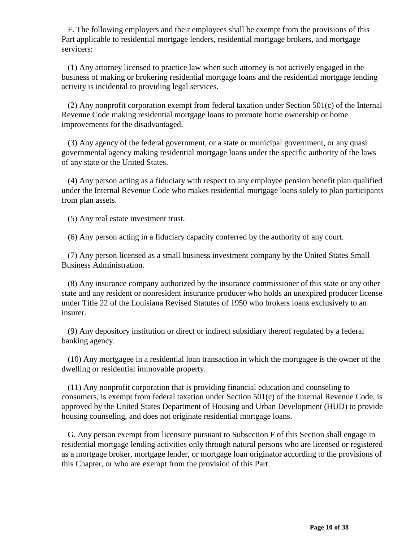F. The following employers and their employees shall be exempt from the provisions of this Part applicable to residential mortgage lenders, residential mortgage brokers, and mortgage servicers:

 (1) Any attorney licensed to practice law when such attorney is not actively engaged in the business of making or brokering residential mortgage loans and the residential mortgage lending activity is incidental to providing legal services.

 (2) Any nonprofit corporation exempt from federal taxation under Section 501(c) of the Internal Revenue Code making residential mortgage loans to promote home ownership or home improvements for the disadvantaged.

 (3) Any agency of the federal government, or a state or municipal government, or any quasi governmental agency making residential mortgage loans under the specific authority of the laws of any state or the United States.

 (4) Any person acting as a fiduciary with respect to any employee pension benefit plan qualified under the Internal Revenue Code who makes residential mortgage loans solely to plan participants from plan assets.

(5) Any real estate investment trust.

(6) Any person acting in a fiduciary capacity conferred by the authority of any court.

 (7) Any person licensed as a small business investment company by the United States Small Business Administration.

 (8) Any insurance company authorized by the insurance commissioner of this state or any other state and any resident or nonresident insurance producer who holds an unexpired producer license under Title 22 of the Louisiana Revised Statutes of 1950 who brokers loans exclusively to an insurer.

 (9) Any depository institution or direct or indirect subsidiary thereof regulated by a federal banking agency.

 (10) Any mortgagee in a residential loan transaction in which the mortgagee is the owner of the dwelling or residential immovable property.

 (11) Any nonprofit corporation that is providing financial education and counseling to consumers, is exempt from federal taxation under Section 501(c) of the Internal Revenue Code, is approved by the United States Department of Housing and Urban Development (HUD) to provide housing counseling, and does not originate residential mortgage loans.

 G. Any person exempt from licensure pursuant to Subsection F of this Section shall engage in residential mortgage lending activities only through natural persons who are licensed or registered as a mortgage broker, mortgage lender, or mortgage loan originator according to the provisions of this Chapter, or who are exempt from the provision of this Part.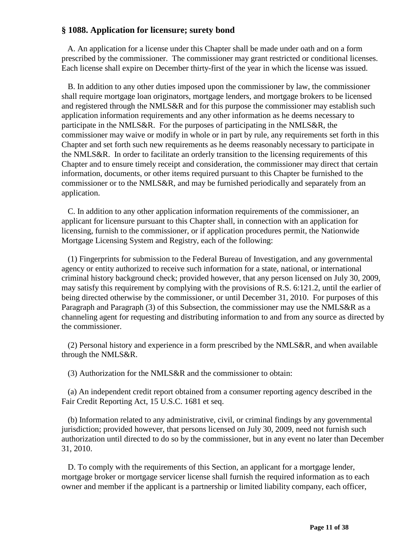### **§ 1088. Application for licensure; surety bond**

 A. An application for a license under this Chapter shall be made under oath and on a form prescribed by the commissioner. The commissioner may grant restricted or conditional licenses. Each license shall expire on December thirty-first of the year in which the license was issued.

 B. In addition to any other duties imposed upon the commissioner by law, the commissioner shall require mortgage loan originators, mortgage lenders, and mortgage brokers to be licensed and registered through the NMLS&R and for this purpose the commissioner may establish such application information requirements and any other information as he deems necessary to participate in the NMLS&R. For the purposes of participating in the NMLS&R, the commissioner may waive or modify in whole or in part by rule, any requirements set forth in this Chapter and set forth such new requirements as he deems reasonably necessary to participate in the NMLS&R. In order to facilitate an orderly transition to the licensing requirements of this Chapter and to ensure timely receipt and consideration, the commissioner may direct that certain information, documents, or other items required pursuant to this Chapter be furnished to the commissioner or to the NMLS&R, and may be furnished periodically and separately from an application.

 C. In addition to any other application information requirements of the commissioner, an applicant for licensure pursuant to this Chapter shall, in connection with an application for licensing, furnish to the commissioner, or if application procedures permit, the Nationwide Mortgage Licensing System and Registry, each of the following:

 (1) Fingerprints for submission to the Federal Bureau of Investigation, and any governmental agency or entity authorized to receive such information for a state, national, or international criminal history background check; provided however, that any person licensed on July 30, 2009, may satisfy this requirement by complying with the provisions of R.S. 6:121.2, until the earlier of being directed otherwise by the commissioner, or until December 31, 2010. For purposes of this Paragraph and Paragraph (3) of this Subsection, the commissioner may use the NMLS&R as a channeling agent for requesting and distributing information to and from any source as directed by the commissioner.

 (2) Personal history and experience in a form prescribed by the NMLS&R, and when available through the NMLS&R.

(3) Authorization for the NMLS&R and the commissioner to obtain:

 (a) An independent credit report obtained from a consumer reporting agency described in the Fair Credit Reporting Act, 15 U.S.C. 1681 et seq.

 (b) Information related to any administrative, civil, or criminal findings by any governmental jurisdiction; provided however, that persons licensed on July 30, 2009, need not furnish such authorization until directed to do so by the commissioner, but in any event no later than December 31, 2010.

 D. To comply with the requirements of this Section, an applicant for a mortgage lender, mortgage broker or mortgage servicer license shall furnish the required information as to each owner and member if the applicant is a partnership or limited liability company, each officer,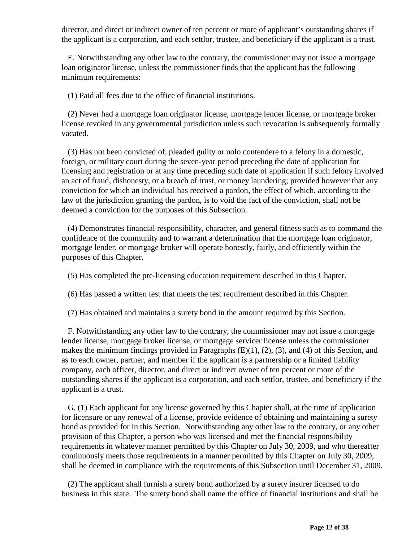director, and direct or indirect owner of ten percent or more of applicant's outstanding shares if the applicant is a corporation, and each settlor, trustee, and beneficiary if the applicant is a trust.

 E. Notwithstanding any other law to the contrary, the commissioner may not issue a mortgage loan originator license, unless the commissioner finds that the applicant has the following minimum requirements:

(1) Paid all fees due to the office of financial institutions.

 (2) Never had a mortgage loan originator license, mortgage lender license, or mortgage broker license revoked in any governmental jurisdiction unless such revocation is subsequently formally vacated.

 (3) Has not been convicted of, pleaded guilty or nolo contendere to a felony in a domestic, foreign, or military court during the seven-year period preceding the date of application for licensing and registration or at any time preceding such date of application if such felony involved an act of fraud, dishonesty, or a breach of trust, or money laundering; provided however that any conviction for which an individual has received a pardon, the effect of which, according to the law of the jurisdiction granting the pardon, is to void the fact of the conviction, shall not be deemed a conviction for the purposes of this Subsection.

 (4) Demonstrates financial responsibility, character, and general fitness such as to command the confidence of the community and to warrant a determination that the mortgage loan originator, mortgage lender, or mortgage broker will operate honestly, fairly, and efficiently within the purposes of this Chapter.

(5) Has completed the pre-licensing education requirement described in this Chapter.

(6) Has passed a written test that meets the test requirement described in this Chapter.

(7) Has obtained and maintains a surety bond in the amount required by this Section.

 F. Notwithstanding any other law to the contrary, the commissioner may not issue a mortgage lender license, mortgage broker license, or mortgage servicer license unless the commissioner makes the minimum findings provided in Paragraphs (E)(1), (2), (3), and (4) of this Section, and as to each owner, partner, and member if the applicant is a partnership or a limited liability company, each officer, director, and direct or indirect owner of ten percent or more of the outstanding shares if the applicant is a corporation, and each settlor, trustee, and beneficiary if the applicant is a trust.

 G. (1) Each applicant for any license governed by this Chapter shall, at the time of application for licensure or any renewal of a license, provide evidence of obtaining and maintaining a surety bond as provided for in this Section. Notwithstanding any other law to the contrary, or any other provision of this Chapter, a person who was licensed and met the financial responsibility requirements in whatever manner permitted by this Chapter on July 30, 2009, and who thereafter continuously meets those requirements in a manner permitted by this Chapter on July 30, 2009, shall be deemed in compliance with the requirements of this Subsection until December 31, 2009.

 (2) The applicant shall furnish a surety bond authorized by a surety insurer licensed to do business in this state. The surety bond shall name the office of financial institutions and shall be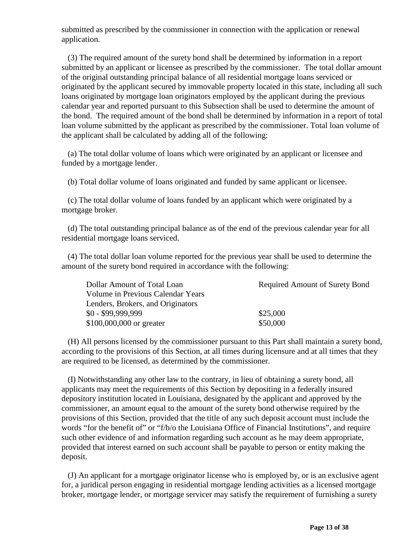submitted as prescribed by the commissioner in connection with the application or renewal application.

 (3) The required amount of the surety bond shall be determined by information in a report submitted by an applicant or licensee as prescribed by the commissioner. The total dollar amount of the original outstanding principal balance of all residential mortgage loans serviced or originated by the applicant secured by immovable property located in this state, including all such loans originated by mortgage loan originators employed by the applicant during the previous calendar year and reported pursuant to this Subsection shall be used to determine the amount of the bond. The required amount of the bond shall be determined by information in a report of total loan volume submitted by the applicant as prescribed by the commissioner. Total loan volume of the applicant shall be calculated by adding all of the following:

 (a) The total dollar volume of loans which were originated by an applicant or licensee and funded by a mortgage lender.

(b) Total dollar volume of loans originated and funded by same applicant or licensee.

 (c) The total dollar volume of loans funded by an applicant which were originated by a mortgage broker.

 (d) The total outstanding principal balance as of the end of the previous calendar year for all residential mortgage loans serviced.

 (4) The total dollar loan volume reported for the previous year shall be used to determine the amount of the surety bond required in accordance with the following:

| Dollar Amount of Total Loan       | Required Amount of Surety Bond |
|-----------------------------------|--------------------------------|
| Volume in Previous Calendar Years |                                |
| Lenders, Brokers, and Originators |                                |
| $$0 - $99.999.999$                | \$25,000                       |
| \$100,000,000 or greater          | \$50,000                       |

 (H) All persons licensed by the commissioner pursuant to this Part shall maintain a surety bond, according to the provisions of this Section, at all times during licensure and at all times that they are required to be licensed, as determined by the commissioner.

 (I) Notwithstanding any other law to the contrary, in lieu of obtaining a surety bond, all applicants may meet the requirements of this Section by depositing in a federally insured depository institution located in Louisiana, designated by the applicant and approved by the commissioner, an amount equal to the amount of the surety bond otherwise required by the provisions of this Section, provided that the title of any such deposit account must include the words "for the benefit of" or "f/b/o the Louisiana Office of Financial Institutions", and require such other evidence of and information regarding such account as he may deem appropriate, provided that interest earned on such account shall be payable to person or entity making the deposit.

 (J) An applicant for a mortgage originator license who is employed by, or is an exclusive agent for, a juridical person engaging in residential mortgage lending activities as a licensed mortgage broker, mortgage lender, or mortgage servicer may satisfy the requirement of furnishing a surety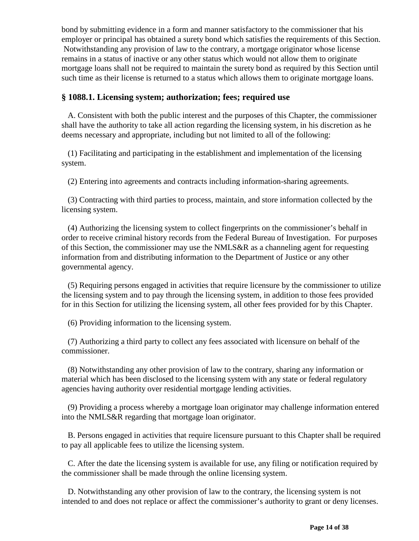bond by submitting evidence in a form and manner satisfactory to the commissioner that his employer or principal has obtained a surety bond which satisfies the requirements of this Section. Notwithstanding any provision of law to the contrary, a mortgage originator whose license remains in a status of inactive or any other status which would not allow them to originate mortgage loans shall not be required to maintain the surety bond as required by this Section until such time as their license is returned to a status which allows them to originate mortgage loans.

### **§ 1088.1. Licensing system; authorization; fees; required use**

 A. Consistent with both the public interest and the purposes of this Chapter, the commissioner shall have the authority to take all action regarding the licensing system, in his discretion as he deems necessary and appropriate, including but not limited to all of the following:

 (1) Facilitating and participating in the establishment and implementation of the licensing system.

(2) Entering into agreements and contracts including information-sharing agreements.

 (3) Contracting with third parties to process, maintain, and store information collected by the licensing system.

 (4) Authorizing the licensing system to collect fingerprints on the commissioner's behalf in order to receive criminal history records from the Federal Bureau of Investigation. For purposes of this Section, the commissioner may use the NMLS&R as a channeling agent for requesting information from and distributing information to the Department of Justice or any other governmental agency.

 (5) Requiring persons engaged in activities that require licensure by the commissioner to utilize the licensing system and to pay through the licensing system, in addition to those fees provided for in this Section for utilizing the licensing system, all other fees provided for by this Chapter.

(6) Providing information to the licensing system.

 (7) Authorizing a third party to collect any fees associated with licensure on behalf of the commissioner.

 (8) Notwithstanding any other provision of law to the contrary, sharing any information or material which has been disclosed to the licensing system with any state or federal regulatory agencies having authority over residential mortgage lending activities.

 (9) Providing a process whereby a mortgage loan originator may challenge information entered into the NMLS&R regarding that mortgage loan originator.

 B. Persons engaged in activities that require licensure pursuant to this Chapter shall be required to pay all applicable fees to utilize the licensing system.

 C. After the date the licensing system is available for use, any filing or notification required by the commissioner shall be made through the online licensing system.

 D. Notwithstanding any other provision of law to the contrary, the licensing system is not intended to and does not replace or affect the commissioner's authority to grant or deny licenses.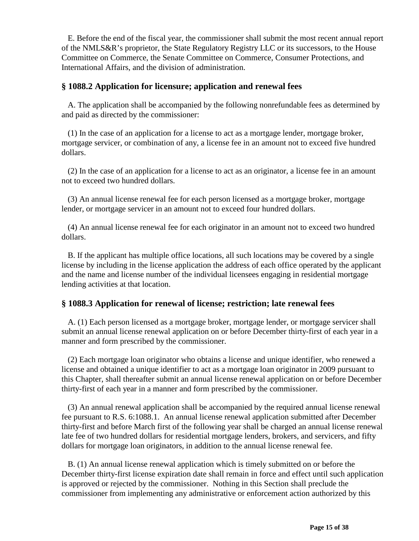E. Before the end of the fiscal year, the commissioner shall submit the most recent annual report of the NMLS&R's proprietor, the State Regulatory Registry LLC or its successors, to the House Committee on Commerce, the Senate Committee on Commerce, Consumer Protections, and International Affairs, and the division of administration.

### **§ 1088.2 Application for licensure; application and renewal fees**

 A. The application shall be accompanied by the following nonrefundable fees as determined by and paid as directed by the commissioner:

 (1) In the case of an application for a license to act as a mortgage lender, mortgage broker, mortgage servicer, or combination of any, a license fee in an amount not to exceed five hundred dollars.

 (2) In the case of an application for a license to act as an originator, a license fee in an amount not to exceed two hundred dollars.

 (3) An annual license renewal fee for each person licensed as a mortgage broker, mortgage lender, or mortgage servicer in an amount not to exceed four hundred dollars.

 (4) An annual license renewal fee for each originator in an amount not to exceed two hundred dollars.

 B. If the applicant has multiple office locations, all such locations may be covered by a single license by including in the license application the address of each office operated by the applicant and the name and license number of the individual licensees engaging in residential mortgage lending activities at that location.

### **§ 1088.3 Application for renewal of license; restriction; late renewal fees**

 A. (1) Each person licensed as a mortgage broker, mortgage lender, or mortgage servicer shall submit an annual license renewal application on or before December thirty-first of each year in a manner and form prescribed by the commissioner.

 (2) Each mortgage loan originator who obtains a license and unique identifier, who renewed a license and obtained a unique identifier to act as a mortgage loan originator in 2009 pursuant to this Chapter, shall thereafter submit an annual license renewal application on or before December thirty-first of each year in a manner and form prescribed by the commissioner.

 (3) An annual renewal application shall be accompanied by the required annual license renewal fee pursuant to R.S. 6:1088.1. An annual license renewal application submitted after December thirty-first and before March first of the following year shall be charged an annual license renewal late fee of two hundred dollars for residential mortgage lenders, brokers, and servicers, and fifty dollars for mortgage loan originators, in addition to the annual license renewal fee.

 B. (1) An annual license renewal application which is timely submitted on or before the December thirty-first license expiration date shall remain in force and effect until such application is approved or rejected by the commissioner. Nothing in this Section shall preclude the commissioner from implementing any administrative or enforcement action authorized by this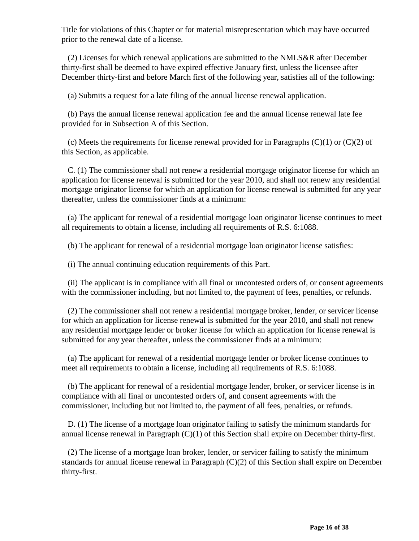Title for violations of this Chapter or for material misrepresentation which may have occurred prior to the renewal date of a license.

 (2) Licenses for which renewal applications are submitted to the NMLS&R after December thirty-first shall be deemed to have expired effective January first, unless the licensee after December thirty-first and before March first of the following year, satisfies all of the following:

(a) Submits a request for a late filing of the annual license renewal application.

 (b) Pays the annual license renewal application fee and the annual license renewal late fee provided for in Subsection A of this Section.

(c) Meets the requirements for license renewal provided for in Paragraphs  $(C)(1)$  or  $(C)(2)$  of this Section, as applicable.

 C. (1) The commissioner shall not renew a residential mortgage originator license for which an application for license renewal is submitted for the year 2010, and shall not renew any residential mortgage originator license for which an application for license renewal is submitted for any year thereafter, unless the commissioner finds at a minimum:

 (a) The applicant for renewal of a residential mortgage loan originator license continues to meet all requirements to obtain a license, including all requirements of R.S. 6:1088.

(b) The applicant for renewal of a residential mortgage loan originator license satisfies:

(i) The annual continuing education requirements of this Part.

 (ii) The applicant is in compliance with all final or uncontested orders of, or consent agreements with the commissioner including, but not limited to, the payment of fees, penalties, or refunds.

 (2) The commissioner shall not renew a residential mortgage broker, lender, or servicer license for which an application for license renewal is submitted for the year 2010, and shall not renew any residential mortgage lender or broker license for which an application for license renewal is submitted for any year thereafter, unless the commissioner finds at a minimum:

 (a) The applicant for renewal of a residential mortgage lender or broker license continues to meet all requirements to obtain a license, including all requirements of R.S. 6:1088.

 (b) The applicant for renewal of a residential mortgage lender, broker, or servicer license is in compliance with all final or uncontested orders of, and consent agreements with the commissioner, including but not limited to, the payment of all fees, penalties, or refunds.

 D. (1) The license of a mortgage loan originator failing to satisfy the minimum standards for annual license renewal in Paragraph (C)(1) of this Section shall expire on December thirty-first.

 (2) The license of a mortgage loan broker, lender, or servicer failing to satisfy the minimum standards for annual license renewal in Paragraph (C)(2) of this Section shall expire on December thirty-first.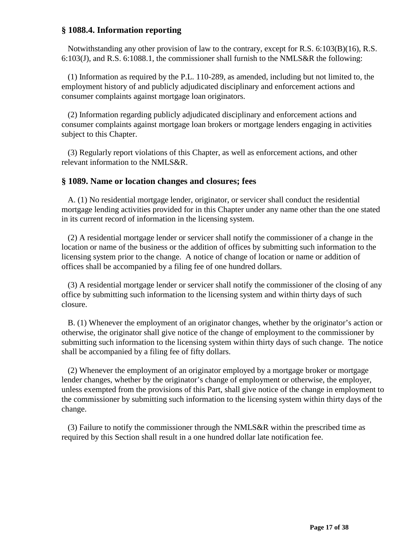# **§ 1088.4. Information reporting**

Notwithstanding any other provision of law to the contrary, except for R.S. 6:103(B)(16), R.S. 6:103(J), and R.S. 6:1088.1, the commissioner shall furnish to the NMLS&R the following:

 (1) Information as required by the P.L. 110-289, as amended, including but not limited to, the employment history of and publicly adjudicated disciplinary and enforcement actions and consumer complaints against mortgage loan originators.

 (2) Information regarding publicly adjudicated disciplinary and enforcement actions and consumer complaints against mortgage loan brokers or mortgage lenders engaging in activities subject to this Chapter.

 (3) Regularly report violations of this Chapter, as well as enforcement actions, and other relevant information to the NMLS&R.

#### **§ 1089. Name or location changes and closures; fees**

 A. (1) No residential mortgage lender, originator, or servicer shall conduct the residential mortgage lending activities provided for in this Chapter under any name other than the one stated in its current record of information in the licensing system.

 (2) A residential mortgage lender or servicer shall notify the commissioner of a change in the location or name of the business or the addition of offices by submitting such information to the licensing system prior to the change. A notice of change of location or name or addition of offices shall be accompanied by a filing fee of one hundred dollars.

 (3) A residential mortgage lender or servicer shall notify the commissioner of the closing of any office by submitting such information to the licensing system and within thirty days of such closure.

 B. (1) Whenever the employment of an originator changes, whether by the originator's action or otherwise, the originator shall give notice of the change of employment to the commissioner by submitting such information to the licensing system within thirty days of such change. The notice shall be accompanied by a filing fee of fifty dollars.

 (2) Whenever the employment of an originator employed by a mortgage broker or mortgage lender changes, whether by the originator's change of employment or otherwise, the employer, unless exempted from the provisions of this Part, shall give notice of the change in employment to the commissioner by submitting such information to the licensing system within thirty days of the change.

 (3) Failure to notify the commissioner through the NMLS&R within the prescribed time as required by this Section shall result in a one hundred dollar late notification fee.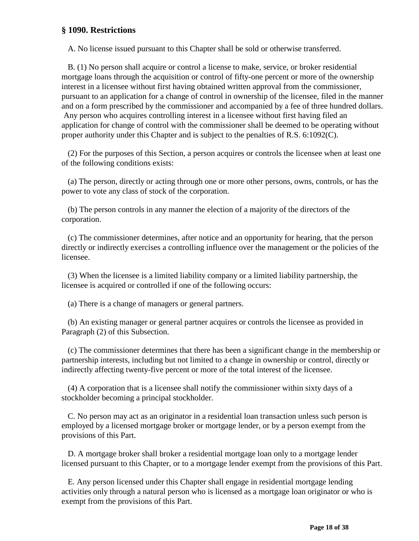### **§ 1090. Restrictions**

A. No license issued pursuant to this Chapter shall be sold or otherwise transferred.

 B. (1) No person shall acquire or control a license to make, service, or broker residential mortgage loans through the acquisition or control of fifty-one percent or more of the ownership interest in a licensee without first having obtained written approval from the commissioner, pursuant to an application for a change of control in ownership of the licensee, filed in the manner and on a form prescribed by the commissioner and accompanied by a fee of three hundred dollars. Any person who acquires controlling interest in a licensee without first having filed an application for change of control with the commissioner shall be deemed to be operating without proper authority under this Chapter and is subject to the penalties of R.S. 6:1092(C).

 (2) For the purposes of this Section, a person acquires or controls the licensee when at least one of the following conditions exists:

 (a) The person, directly or acting through one or more other persons, owns, controls, or has the power to vote any class of stock of the corporation.

 (b) The person controls in any manner the election of a majority of the directors of the corporation.

 (c) The commissioner determines, after notice and an opportunity for hearing, that the person directly or indirectly exercises a controlling influence over the management or the policies of the licensee.

 (3) When the licensee is a limited liability company or a limited liability partnership, the licensee is acquired or controlled if one of the following occurs:

(a) There is a change of managers or general partners.

 (b) An existing manager or general partner acquires or controls the licensee as provided in Paragraph (2) of this Subsection.

 (c) The commissioner determines that there has been a significant change in the membership or partnership interests, including but not limited to a change in ownership or control, directly or indirectly affecting twenty-five percent or more of the total interest of the licensee.

 (4) A corporation that is a licensee shall notify the commissioner within sixty days of a stockholder becoming a principal stockholder.

 C. No person may act as an originator in a residential loan transaction unless such person is employed by a licensed mortgage broker or mortgage lender, or by a person exempt from the provisions of this Part.

 D. A mortgage broker shall broker a residential mortgage loan only to a mortgage lender licensed pursuant to this Chapter, or to a mortgage lender exempt from the provisions of this Part.

 E. Any person licensed under this Chapter shall engage in residential mortgage lending activities only through a natural person who is licensed as a mortgage loan originator or who is exempt from the provisions of this Part.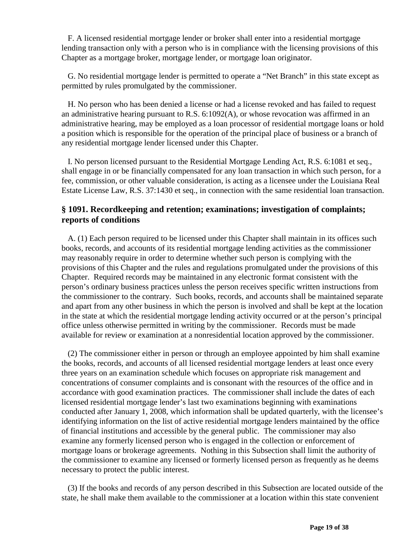F. A licensed residential mortgage lender or broker shall enter into a residential mortgage lending transaction only with a person who is in compliance with the licensing provisions of this Chapter as a mortgage broker, mortgage lender, or mortgage loan originator.

 G. No residential mortgage lender is permitted to operate a "Net Branch" in this state except as permitted by rules promulgated by the commissioner.

 H. No person who has been denied a license or had a license revoked and has failed to request an administrative hearing pursuant to R.S.  $6:1092(A)$ , or whose revocation was affirmed in an administrative hearing, may be employed as a loan processor of residential mortgage loans or hold a position which is responsible for the operation of the principal place of business or a branch of any residential mortgage lender licensed under this Chapter.

 I. No person licensed pursuant to the Residential Mortgage Lending Act, R.S. 6:1081 et seq., shall engage in or be financially compensated for any loan transaction in which such person, for a fee, commission, or other valuable consideration, is acting as a licensee under the Louisiana Real Estate License Law, R.S. 37:1430 et seq., in connection with the same residential loan transaction.

# **§ 1091. Recordkeeping and retention; examinations; investigation of complaints; reports of conditions**

 A. (1) Each person required to be licensed under this Chapter shall maintain in its offices such books, records, and accounts of its residential mortgage lending activities as the commissioner may reasonably require in order to determine whether such person is complying with the provisions of this Chapter and the rules and regulations promulgated under the provisions of this Chapter. Required records may be maintained in any electronic format consistent with the person's ordinary business practices unless the person receives specific written instructions from the commissioner to the contrary. Such books, records, and accounts shall be maintained separate and apart from any other business in which the person is involved and shall be kept at the location in the state at which the residential mortgage lending activity occurred or at the person's principal office unless otherwise permitted in writing by the commissioner. Records must be made available for review or examination at a nonresidential location approved by the commissioner.

 (2) The commissioner either in person or through an employee appointed by him shall examine the books, records, and accounts of all licensed residential mortgage lenders at least once every three years on an examination schedule which focuses on appropriate risk management and concentrations of consumer complaints and is consonant with the resources of the office and in accordance with good examination practices. The commissioner shall include the dates of each licensed residential mortgage lender's last two examinations beginning with examinations conducted after January 1, 2008, which information shall be updated quarterly, with the licensee's identifying information on the list of active residential mortgage lenders maintained by the office of financial institutions and accessible by the general public. The commissioner may also examine any formerly licensed person who is engaged in the collection or enforcement of mortgage loans or brokerage agreements. Nothing in this Subsection shall limit the authority of the commissioner to examine any licensed or formerly licensed person as frequently as he deems necessary to protect the public interest.

 (3) If the books and records of any person described in this Subsection are located outside of the state, he shall make them available to the commissioner at a location within this state convenient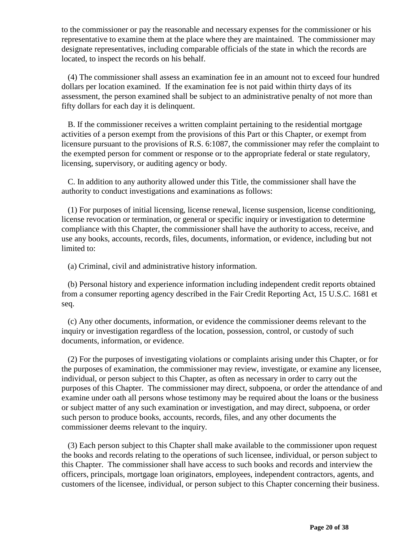to the commissioner or pay the reasonable and necessary expenses for the commissioner or his representative to examine them at the place where they are maintained. The commissioner may designate representatives, including comparable officials of the state in which the records are located, to inspect the records on his behalf.

 (4) The commissioner shall assess an examination fee in an amount not to exceed four hundred dollars per location examined. If the examination fee is not paid within thirty days of its assessment, the person examined shall be subject to an administrative penalty of not more than fifty dollars for each day it is delinquent.

 B. If the commissioner receives a written complaint pertaining to the residential mortgage activities of a person exempt from the provisions of this Part or this Chapter, or exempt from licensure pursuant to the provisions of R.S. 6:1087, the commissioner may refer the complaint to the exempted person for comment or response or to the appropriate federal or state regulatory, licensing, supervisory, or auditing agency or body.

C. In addition to any authority allowed under this Title, the commissioner shall have the authority to conduct investigations and examinations as follows:

 (1) For purposes of initial licensing, license renewal, license suspension, license conditioning, license revocation or termination, or general or specific inquiry or investigation to determine compliance with this Chapter, the commissioner shall have the authority to access, receive, and use any books, accounts, records, files, documents, information, or evidence, including but not limited to:

(a) Criminal, civil and administrative history information.

 (b) Personal history and experience information including independent credit reports obtained from a consumer reporting agency described in the Fair Credit Reporting Act, 15 U.S.C. 1681 et seq.

 (c) Any other documents, information, or evidence the commissioner deems relevant to the inquiry or investigation regardless of the location, possession, control, or custody of such documents, information, or evidence.

(2) For the purposes of investigating violations or complaints arising under this Chapter, or for the purposes of examination, the commissioner may review, investigate, or examine any licensee, individual, or person subject to this Chapter, as often as necessary in order to carry out the purposes of this Chapter. The commissioner may direct, subpoena, or order the attendance of and examine under oath all persons whose testimony may be required about the loans or the business or subject matter of any such examination or investigation, and may direct, subpoena, or order such person to produce books, accounts, records, files, and any other documents the commissioner deems relevant to the inquiry.

 (3) Each person subject to this Chapter shall make available to the commissioner upon request the books and records relating to the operations of such licensee, individual, or person subject to this Chapter. The commissioner shall have access to such books and records and interview the officers, principals, mortgage loan originators, employees, independent contractors, agents, and customers of the licensee, individual, or person subject to this Chapter concerning their business.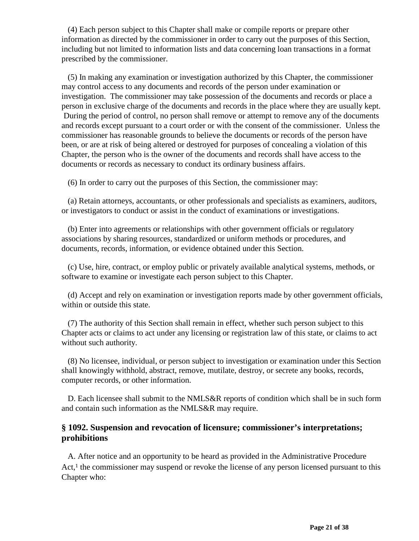(4) Each person subject to this Chapter shall make or compile reports or prepare other information as directed by the commissioner in order to carry out the purposes of this Section, including but not limited to information lists and data concerning loan transactions in a format prescribed by the commissioner.

 (5) In making any examination or investigation authorized by this Chapter, the commissioner may control access to any documents and records of the person under examination or investigation. The commissioner may take possession of the documents and records or place a person in exclusive charge of the documents and records in the place where they are usually kept. During the period of control, no person shall remove or attempt to remove any of the documents and records except pursuant to a court order or with the consent of the commissioner. Unless the commissioner has reasonable grounds to believe the documents or records of the person have been, or are at risk of being altered or destroyed for purposes of concealing a violation of this Chapter, the person who is the owner of the documents and records shall have access to the documents or records as necessary to conduct its ordinary business affairs.

(6) In order to carry out the purposes of this Section, the commissioner may:

 (a) Retain attorneys, accountants, or other professionals and specialists as examiners, auditors, or investigators to conduct or assist in the conduct of examinations or investigations.

 (b) Enter into agreements or relationships with other government officials or regulatory associations by sharing resources, standardized or uniform methods or procedures, and documents, records, information, or evidence obtained under this Section.

 (c) Use, hire, contract, or employ public or privately available analytical systems, methods, or software to examine or investigate each person subject to this Chapter.

 (d) Accept and rely on examination or investigation reports made by other government officials, within or outside this state.

 (7) The authority of this Section shall remain in effect, whether such person subject to this Chapter acts or claims to act under any licensing or registration law of this state, or claims to act without such authority.

 (8) No licensee, individual, or person subject to investigation or examination under this Section shall knowingly withhold, abstract, remove, mutilate, destroy, or secrete any books, records, computer records, or other information.

 D. Each licensee shall submit to the NMLS&R reports of condition which shall be in such form and contain such information as the NMLS&R may require.

### **§ 1092. Suspension and revocation of licensure; commissioner's interpretations; prohibitions**

 A. After notice and an opportunity to be heard as provided in the Administrative Procedure Act, $<sup>1</sup>$  the commissioner may suspend or revoke the license of any person licensed pursuant to this</sup> Chapter who: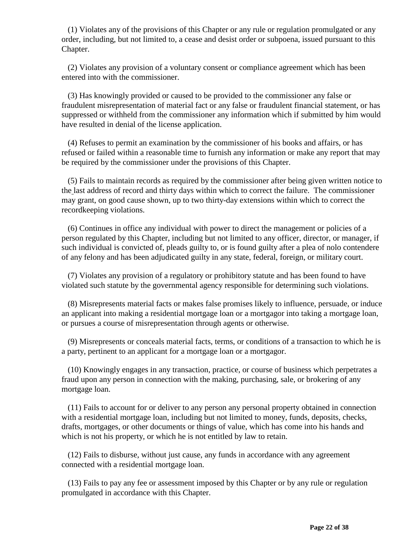(1) Violates any of the provisions of this Chapter or any rule or regulation promulgated or any order, including, but not limited to, a cease and desist order or subpoena, issued pursuant to this Chapter.

 (2) Violates any provision of a voluntary consent or compliance agreement which has been entered into with the commissioner.

 (3) Has knowingly provided or caused to be provided to the commissioner any false or fraudulent misrepresentation of material fact or any false or fraudulent financial statement, or has suppressed or withheld from the commissioner any information which if submitted by him would have resulted in denial of the license application.

 (4) Refuses to permit an examination by the commissioner of his books and affairs, or has refused or failed within a reasonable time to furnish any information or make any report that may be required by the commissioner under the provisions of this Chapter.

 (5) Fails to maintain records as required by the commissioner after being given written notice to the last address of record and thirty days within which to correct the failure. The commissioner may grant, on good cause shown, up to two thirty-day extensions within which to correct the recordkeeping violations.

 (6) Continues in office any individual with power to direct the management or policies of a person regulated by this Chapter, including but not limited to any officer, director, or manager, if such individual is convicted of, pleads guilty to, or is found guilty after a plea of nolo contendere of any felony and has been adjudicated guilty in any state, federal, foreign, or military court.

 (7) Violates any provision of a regulatory or prohibitory statute and has been found to have violated such statute by the governmental agency responsible for determining such violations.

 (8) Misrepresents material facts or makes false promises likely to influence, persuade, or induce an applicant into making a residential mortgage loan or a mortgagor into taking a mortgage loan, or pursues a course of misrepresentation through agents or otherwise.

 (9) Misrepresents or conceals material facts, terms, or conditions of a transaction to which he is a party, pertinent to an applicant for a mortgage loan or a mortgagor.

 (10) Knowingly engages in any transaction, practice, or course of business which perpetrates a fraud upon any person in connection with the making, purchasing, sale, or brokering of any mortgage loan.

 (11) Fails to account for or deliver to any person any personal property obtained in connection with a residential mortgage loan, including but not limited to money, funds, deposits, checks, drafts, mortgages, or other documents or things of value, which has come into his hands and which is not his property, or which he is not entitled by law to retain.

 (12) Fails to disburse, without just cause, any funds in accordance with any agreement connected with a residential mortgage loan.

 (13) Fails to pay any fee or assessment imposed by this Chapter or by any rule or regulation promulgated in accordance with this Chapter.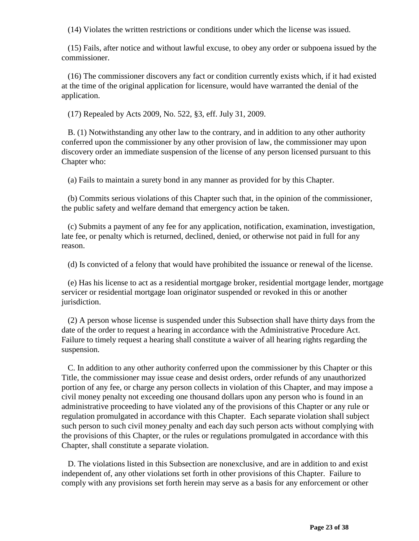(14) Violates the written restrictions or conditions under which the license was issued.

 (15) Fails, after notice and without lawful excuse, to obey any order or subpoena issued by the commissioner.

 (16) The commissioner discovers any fact or condition currently exists which, if it had existed at the time of the original application for licensure, would have warranted the denial of the application.

(17) Repealed by Acts 2009, No. 522, §3, eff. July 31, 2009.

 B. (1) Notwithstanding any other law to the contrary, and in addition to any other authority conferred upon the commissioner by any other provision of law, the commissioner may upon discovery order an immediate suspension of the license of any person licensed pursuant to this Chapter who:

(a) Fails to maintain a surety bond in any manner as provided for by this Chapter.

 (b) Commits serious violations of this Chapter such that, in the opinion of the commissioner, the public safety and welfare demand that emergency action be taken.

 (c) Submits a payment of any fee for any application, notification, examination, investigation, late fee, or penalty which is returned, declined, denied, or otherwise not paid in full for any reason.

(d) Is convicted of a felony that would have prohibited the issuance or renewal of the license.

 (e) Has his license to act as a residential mortgage broker, residential mortgage lender, mortgage servicer or residential mortgage loan originator suspended or revoked in this or another jurisdiction.

 (2) A person whose license is suspended under this Subsection shall have thirty days from the date of the order to request a hearing in accordance with the Administrative Procedure Act. Failure to timely request a hearing shall constitute a waiver of all hearing rights regarding the suspension.

 C. In addition to any other authority conferred upon the commissioner by this Chapter or this Title, the commissioner may issue cease and desist orders, order refunds of any unauthorized portion of any fee, or charge any person collects in violation of this Chapter, and may impose a civil money penalty not exceeding one thousand dollars upon any person who is found in an administrative proceeding to have violated any of the provisions of this Chapter or any rule or regulation promulgated in accordance with this Chapter. Each separate violation shall subject such person to such civil money penalty and each day such person acts without complying with the provisions of this Chapter, or the rules or regulations promulgated in accordance with this Chapter, shall constitute a separate violation.

 D. The violations listed in this Subsection are nonexclusive, and are in addition to and exist independent of, any other violations set forth in other provisions of this Chapter. Failure to comply with any provisions set forth herein may serve as a basis for any enforcement or other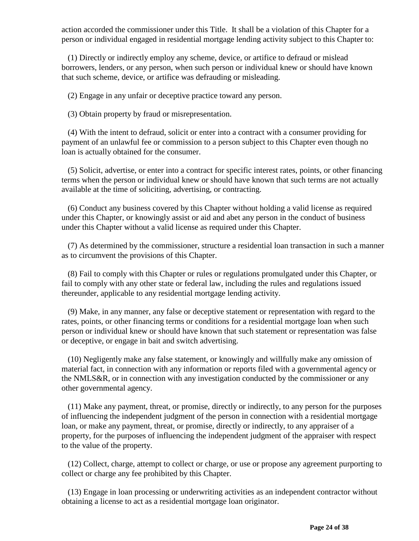action accorded the commissioner under this Title. It shall be a violation of this Chapter for a person or individual engaged in residential mortgage lending activity subject to this Chapter to:

 (1) Directly or indirectly employ any scheme, device, or artifice to defraud or mislead borrowers, lenders, or any person, when such person or individual knew or should have known that such scheme, device, or artifice was defrauding or misleading.

(2) Engage in any unfair or deceptive practice toward any person.

(3) Obtain property by fraud or misrepresentation.

 (4) With the intent to defraud, solicit or enter into a contract with a consumer providing for payment of an unlawful fee or commission to a person subject to this Chapter even though no loan is actually obtained for the consumer.

 (5) Solicit, advertise, or enter into a contract for specific interest rates, points, or other financing terms when the person or individual knew or should have known that such terms are not actually available at the time of soliciting, advertising, or contracting.

 (6) Conduct any business covered by this Chapter without holding a valid license as required under this Chapter, or knowingly assist or aid and abet any person in the conduct of business under this Chapter without a valid license as required under this Chapter.

 (7) As determined by the commissioner, structure a residential loan transaction in such a manner as to circumvent the provisions of this Chapter.

 (8) Fail to comply with this Chapter or rules or regulations promulgated under this Chapter, or fail to comply with any other state or federal law, including the rules and regulations issued thereunder, applicable to any residential mortgage lending activity.

 (9) Make, in any manner, any false or deceptive statement or representation with regard to the rates, points, or other financing terms or conditions for a residential mortgage loan when such person or individual knew or should have known that such statement or representation was false or deceptive, or engage in bait and switch advertising.

 (10) Negligently make any false statement, or knowingly and willfully make any omission of material fact, in connection with any information or reports filed with a governmental agency or the NMLS&R, or in connection with any investigation conducted by the commissioner or any other governmental agency.

 (11) Make any payment, threat, or promise, directly or indirectly, to any person for the purposes of influencing the independent judgment of the person in connection with a residential mortgage loan, or make any payment, threat, or promise, directly or indirectly, to any appraiser of a property, for the purposes of influencing the independent judgment of the appraiser with respect to the value of the property.

 (12) Collect, charge, attempt to collect or charge, or use or propose any agreement purporting to collect or charge any fee prohibited by this Chapter.

 (13) Engage in loan processing or underwriting activities as an independent contractor without obtaining a license to act as a residential mortgage loan originator.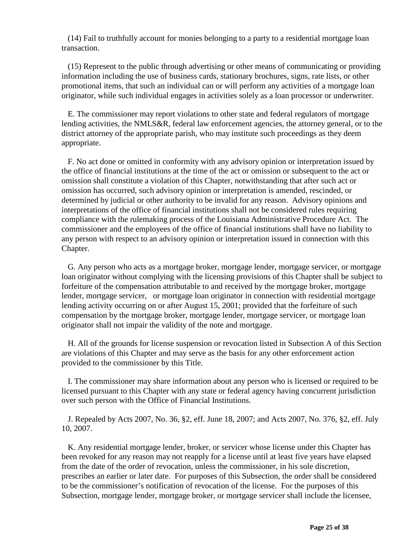(14) Fail to truthfully account for monies belonging to a party to a residential mortgage loan transaction.

 (15) Represent to the public through advertising or other means of communicating or providing information including the use of business cards, stationary brochures, signs, rate lists, or other promotional items, that such an individual can or will perform any activities of a mortgage loan originator, while such individual engages in activities solely as a loan processor or underwriter.

 E. The commissioner may report violations to other state and federal regulators of mortgage lending activities, the NMLS&R, federal law enforcement agencies, the attorney general, or to the district attorney of the appropriate parish, who may institute such proceedings as they deem appropriate.

 F. No act done or omitted in conformity with any advisory opinion or interpretation issued by the office of financial institutions at the time of the act or omission or subsequent to the act or omission shall constitute a violation of this Chapter, notwithstanding that after such act or omission has occurred, such advisory opinion or interpretation is amended, rescinded, or determined by judicial or other authority to be invalid for any reason. Advisory opinions and interpretations of the office of financial institutions shall not be considered rules requiring compliance with the rulemaking process of the Louisiana Administrative Procedure Act. The commissioner and the employees of the office of financial institutions shall have no liability to any person with respect to an advisory opinion or interpretation issued in connection with this Chapter.

 G. Any person who acts as a mortgage broker, mortgage lender, mortgage servicer, or mortgage loan originator without complying with the licensing provisions of this Chapter shall be subject to forfeiture of the compensation attributable to and received by the mortgage broker, mortgage lender, mortgage servicer, or mortgage loan originator in connection with residential mortgage lending activity occurring on or after August 15, 2001; provided that the forfeiture of such compensation by the mortgage broker, mortgage lender, mortgage servicer, or mortgage loan originator shall not impair the validity of the note and mortgage.

 H. All of the grounds for license suspension or revocation listed in Subsection A of this Section are violations of this Chapter and may serve as the basis for any other enforcement action provided to the commissioner by this Title.

 I. The commissioner may share information about any person who is licensed or required to be licensed pursuant to this Chapter with any state or federal agency having concurrent jurisdiction over such person with the Office of Financial Institutions.

 J. Repealed by Acts 2007, No. 36, §2, eff. June 18, 2007; and Acts 2007, No. 376, §2, eff. July 10, 2007.

 K. Any residential mortgage lender, broker, or servicer whose license under this Chapter has been revoked for any reason may not reapply for a license until at least five years have elapsed from the date of the order of revocation, unless the commissioner, in his sole discretion, prescribes an earlier or later date. For purposes of this Subsection, the order shall be considered to be the commissioner's notification of revocation of the license. For the purposes of this Subsection, mortgage lender, mortgage broker, or mortgage servicer shall include the licensee,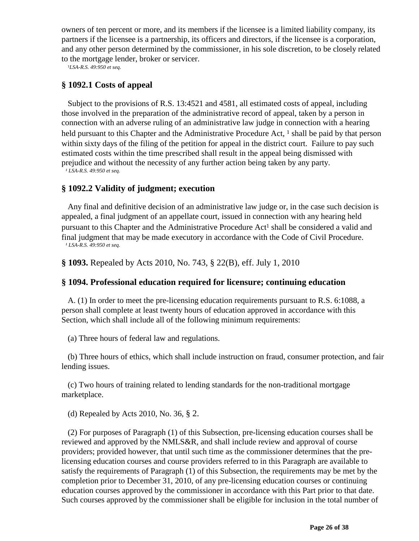owners of ten percent or more, and its members if the licensee is a limited liability company, its partners if the licensee is a partnership, its officers and directors, if the licensee is a corporation, and any other person determined by the commissioner, in his sole discretion, to be closely related to the mortgage lender, broker or servicer.<br><sup>*LSA-R.S. 49:950 et seq.*</sup>

### **§ 1092.1 Costs of appeal**

 Subject to the provisions of R.S. 13:4521 and 4581, all estimated costs of appeal, including those involved in the preparation of the administrative record of appeal, taken by a person in connection with an adverse ruling of an administrative law judge in connection with a hearing held pursuant to this Chapter and the Administrative Procedure Act, <sup>1</sup> shall be paid by that person within sixty days of the filing of the petition for appeal in the district court. Failure to pay such estimated costs within the time prescribed shall result in the appeal being dismissed with prejudice and without the necessity of any further action being taken by any party.

*¹ LSA-R.S. 49:950 et seq.*

#### **§ 1092.2 Validity of judgment; execution**

 Any final and definitive decision of an administrative law judge or, in the case such decision is appealed, a final judgment of an appellate court, issued in connection with any hearing held pursuant to this Chapter and the Administrative Procedure Act<sup>1</sup> shall be considered a valid and final judgment that may be made executory in accordance with the Code of Civil Procedure.<br>*<sup>1</sup> LSA-R.S. 49:950 et seq.* 

**§ 1093.** Repealed by Acts 2010, No. 743, § 22(B), eff. July 1, 2010

#### **§ 1094. Professional education required for licensure; continuing education**

 A. (1) In order to meet the pre-licensing education requirements pursuant to R.S. 6:1088, a person shall complete at least twenty hours of education approved in accordance with this Section, which shall include all of the following minimum requirements:

(a) Three hours of federal law and regulations.

 (b) Three hours of ethics, which shall include instruction on fraud, consumer protection, and fair lending issues.

 (c) Two hours of training related to lending standards for the non-traditional mortgage marketplace.

(d) Repealed by Acts 2010, No. 36, § 2.

 (2) For purposes of Paragraph (1) of this Subsection, pre-licensing education courses shall be reviewed and approved by the NMLS&R, and shall include review and approval of course providers; provided however, that until such time as the commissioner determines that the prelicensing education courses and course providers referred to in this Paragraph are available to satisfy the requirements of Paragraph (1) of this Subsection, the requirements may be met by the completion prior to December 31, 2010, of any pre-licensing education courses or continuing education courses approved by the commissioner in accordance with this Part prior to that date. Such courses approved by the commissioner shall be eligible for inclusion in the total number of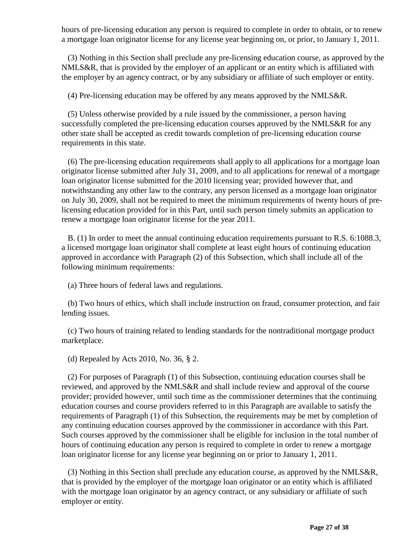hours of pre-licensing education any person is required to complete in order to obtain, or to renew a mortgage loan originator license for any license year beginning on, or prior, to January 1, 2011.

 (3) Nothing in this Section shall preclude any pre-licensing education course, as approved by the NMLS&R, that is provided by the employer of an applicant or an entity which is affiliated with the employer by an agency contract, or by any subsidiary or affiliate of such employer or entity.

(4) Pre-licensing education may be offered by any means approved by the NMLS&R.

 (5) Unless otherwise provided by a rule issued by the commissioner, a person having successfully completed the pre-licensing education courses approved by the NMLS&R for any other state shall be accepted as credit towards completion of pre-licensing education course requirements in this state.

 (6) The pre-licensing education requirements shall apply to all applications for a mortgage loan originator license submitted after July 31, 2009, and to all applications for renewal of a mortgage loan originator license submitted for the 2010 licensing year; provided however that, and notwithstanding any other law to the contrary, any person licensed as a mortgage loan originator on July 30, 2009, shall not be required to meet the minimum requirements of twenty hours of prelicensing education provided for in this Part, until such person timely submits an application to renew a mortgage loan originator license for the year 2011.

 B. (1) In order to meet the annual continuing education requirements pursuant to R.S. 6:1088.3, a licensed mortgage loan originator shall complete at least eight hours of continuing education approved in accordance with Paragraph (2) of this Subsection, which shall include all of the following minimum requirements:

(a) Three hours of federal laws and regulations.

 (b) Two hours of ethics, which shall include instruction on fraud, consumer protection, and fair lending issues.

 (c) Two hours of training related to lending standards for the nontraditional mortgage product marketplace.

(d) Repealed by Acts 2010, No. 36, § 2.

 (2) For purposes of Paragraph (1) of this Subsection, continuing education courses shall be reviewed, and approved by the NMLS&R and shall include review and approval of the course provider; provided however, until such time as the commissioner determines that the continuing education courses and course providers referred to in this Paragraph are available to satisfy the requirements of Paragraph (1) of this Subsection, the requirements may be met by completion of any continuing education courses approved by the commissioner in accordance with this Part. Such courses approved by the commissioner shall be eligible for inclusion in the total number of hours of continuing education any person is required to complete in order to renew a mortgage loan originator license for any license year beginning on or prior to January 1, 2011.

 (3) Nothing in this Section shall preclude any education course, as approved by the NMLS&R, that is provided by the employer of the mortgage loan originator or an entity which is affiliated with the mortgage loan originator by an agency contract, or any subsidiary or affiliate of such employer or entity.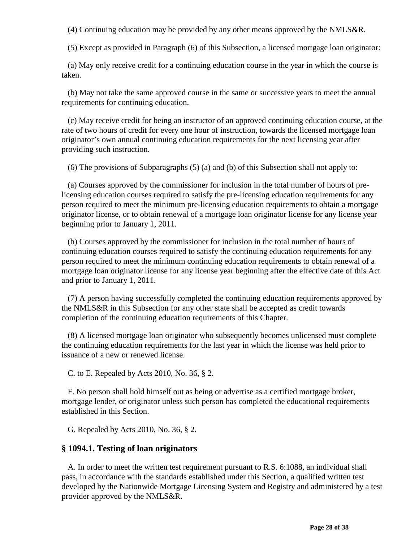(4) Continuing education may be provided by any other means approved by the NMLS&R.

(5) Except as provided in Paragraph (6) of this Subsection, a licensed mortgage loan originator:

 (a) May only receive credit for a continuing education course in the year in which the course is taken.

 (b) May not take the same approved course in the same or successive years to meet the annual requirements for continuing education.

 (c) May receive credit for being an instructor of an approved continuing education course, at the rate of two hours of credit for every one hour of instruction, towards the licensed mortgage loan originator's own annual continuing education requirements for the next licensing year after providing such instruction.

(6) The provisions of Subparagraphs (5) (a) and (b) of this Subsection shall not apply to:

 (a) Courses approved by the commissioner for inclusion in the total number of hours of prelicensing education courses required to satisfy the pre-licensing education requirements for any person required to meet the minimum pre-licensing education requirements to obtain a mortgage originator license, or to obtain renewal of a mortgage loan originator license for any license year beginning prior to January 1, 2011.

 (b) Courses approved by the commissioner for inclusion in the total number of hours of continuing education courses required to satisfy the continuing education requirements for any person required to meet the minimum continuing education requirements to obtain renewal of a mortgage loan originator license for any license year beginning after the effective date of this Act and prior to January 1, 2011.

 (7) A person having successfully completed the continuing education requirements approved by the NMLS&R in this Subsection for any other state shall be accepted as credit towards completion of the continuing education requirements of this Chapter.

 (8) A licensed mortgage loan originator who subsequently becomes unlicensed must complete the continuing education requirements for the last year in which the license was held prior to issuance of a new or renewed license.

C. to E. Repealed by Acts 2010, No. 36, § 2.

 F. No person shall hold himself out as being or advertise as a certified mortgage broker, mortgage lender, or originator unless such person has completed the educational requirements established in this Section.

G. Repealed by Acts 2010, No. 36, § 2.

### **§ 1094.1. Testing of loan originators**

 A. In order to meet the written test requirement pursuant to R.S. 6:1088, an individual shall pass, in accordance with the standards established under this Section, a qualified written test developed by the Nationwide Mortgage Licensing System and Registry and administered by a test provider approved by the NMLS&R.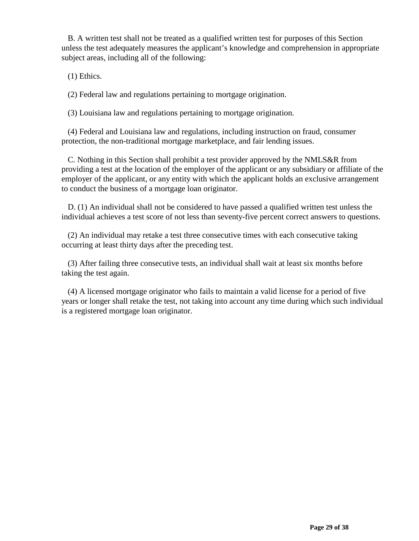B. A written test shall not be treated as a qualified written test for purposes of this Section unless the test adequately measures the applicant's knowledge and comprehension in appropriate subject areas, including all of the following:

(1) Ethics.

(2) Federal law and regulations pertaining to mortgage origination.

(3) Louisiana law and regulations pertaining to mortgage origination.

 (4) Federal and Louisiana law and regulations, including instruction on fraud, consumer protection, the non-traditional mortgage marketplace, and fair lending issues.

 C. Nothing in this Section shall prohibit a test provider approved by the NMLS&R from providing a test at the location of the employer of the applicant or any subsidiary or affiliate of the employer of the applicant, or any entity with which the applicant holds an exclusive arrangement to conduct the business of a mortgage loan originator.

 D. (1) An individual shall not be considered to have passed a qualified written test unless the individual achieves a test score of not less than seventy-five percent correct answers to questions.

 (2) An individual may retake a test three consecutive times with each consecutive taking occurring at least thirty days after the preceding test.

 (3) After failing three consecutive tests, an individual shall wait at least six months before taking the test again.

 (4) A licensed mortgage originator who fails to maintain a valid license for a period of five years or longer shall retake the test, not taking into account any time during which such individual is a registered mortgage loan originator.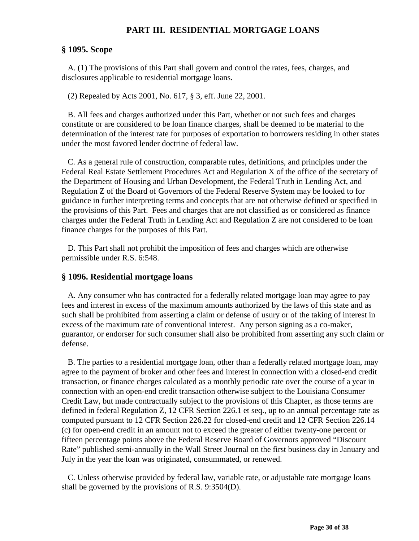### **PART III. RESIDENTIAL MORTGAGE LOANS**

### **§ 1095. Scope**

 A. (1) The provisions of this Part shall govern and control the rates, fees, charges, and disclosures applicable to residential mortgage loans.

(2) Repealed by Acts 2001, No. 617, § 3, eff. June 22, 2001.

 B. All fees and charges authorized under this Part, whether or not such fees and charges constitute or are considered to be loan finance charges, shall be deemed to be material to the determination of the interest rate for purposes of exportation to borrowers residing in other states under the most favored lender doctrine of federal law.

 C. As a general rule of construction, comparable rules, definitions, and principles under the Federal Real Estate Settlement Procedures Act and Regulation X of the office of the secretary of the Department of Housing and Urban Development, the Federal Truth in Lending Act, and Regulation Z of the Board of Governors of the Federal Reserve System may be looked to for guidance in further interpreting terms and concepts that are not otherwise defined or specified in the provisions of this Part. Fees and charges that are not classified as or considered as finance charges under the Federal Truth in Lending Act and Regulation Z are not considered to be loan finance charges for the purposes of this Part.

 D. This Part shall not prohibit the imposition of fees and charges which are otherwise permissible under R.S. 6:548.

### **§ 1096. Residential mortgage loans**

 A. Any consumer who has contracted for a federally related mortgage loan may agree to pay fees and interest in excess of the maximum amounts authorized by the laws of this state and as such shall be prohibited from asserting a claim or defense of usury or of the taking of interest in excess of the maximum rate of conventional interest. Any person signing as a co-maker, guarantor, or endorser for such consumer shall also be prohibited from asserting any such claim or defense.

 B. The parties to a residential mortgage loan, other than a federally related mortgage loan, may agree to the payment of broker and other fees and interest in connection with a closed-end credit transaction, or finance charges calculated as a monthly periodic rate over the course of a year in connection with an open-end credit transaction otherwise subject to the Louisiana Consumer Credit Law, but made contractually subject to the provisions of this Chapter, as those terms are defined in federal Regulation Z, 12 CFR Section 226.1 et seq., up to an annual percentage rate as computed pursuant to 12 CFR Section 226.22 for closed-end credit and 12 CFR Section 226.14 (c) for open-end credit in an amount not to exceed the greater of either twenty-one percent or fifteen percentage points above the Federal Reserve Board of Governors approved "Discount Rate" published semi-annually in the Wall Street Journal on the first business day in January and July in the year the loan was originated, consummated, or renewed.

 C. Unless otherwise provided by federal law, variable rate, or adjustable rate mortgage loans shall be governed by the provisions of R.S. 9:3504(D).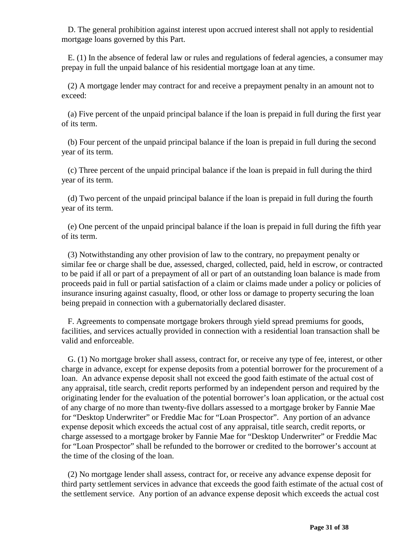D. The general prohibition against interest upon accrued interest shall not apply to residential mortgage loans governed by this Part.

 E. (1) In the absence of federal law or rules and regulations of federal agencies, a consumer may prepay in full the unpaid balance of his residential mortgage loan at any time.

 (2) A mortgage lender may contract for and receive a prepayment penalty in an amount not to exceed:

 (a) Five percent of the unpaid principal balance if the loan is prepaid in full during the first year of its term.

 (b) Four percent of the unpaid principal balance if the loan is prepaid in full during the second year of its term.

 (c) Three percent of the unpaid principal balance if the loan is prepaid in full during the third year of its term.

 (d) Two percent of the unpaid principal balance if the loan is prepaid in full during the fourth year of its term.

 (e) One percent of the unpaid principal balance if the loan is prepaid in full during the fifth year of its term.

 (3) Notwithstanding any other provision of law to the contrary, no prepayment penalty or similar fee or charge shall be due, assessed, charged, collected, paid, held in escrow, or contracted to be paid if all or part of a prepayment of all or part of an outstanding loan balance is made from proceeds paid in full or partial satisfaction of a claim or claims made under a policy or policies of insurance insuring against casualty, flood, or other loss or damage to property securing the loan being prepaid in connection with a gubernatorially declared disaster.

 F. Agreements to compensate mortgage brokers through yield spread premiums for goods, facilities, and services actually provided in connection with a residential loan transaction shall be valid and enforceable.

 G. (1) No mortgage broker shall assess, contract for, or receive any type of fee, interest, or other charge in advance, except for expense deposits from a potential borrower for the procurement of a loan. An advance expense deposit shall not exceed the good faith estimate of the actual cost of any appraisal, title search, credit reports performed by an independent person and required by the originating lender for the evaluation of the potential borrower's loan application, or the actual cost of any charge of no more than twenty-five dollars assessed to a mortgage broker by Fannie Mae for "Desktop Underwriter" or Freddie Mac for "Loan Prospector". Any portion of an advance expense deposit which exceeds the actual cost of any appraisal, title search, credit reports, or charge assessed to a mortgage broker by Fannie Mae for "Desktop Underwriter" or Freddie Mac for "Loan Prospector" shall be refunded to the borrower or credited to the borrower's account at the time of the closing of the loan.

 (2) No mortgage lender shall assess, contract for, or receive any advance expense deposit for third party settlement services in advance that exceeds the good faith estimate of the actual cost of the settlement service. Any portion of an advance expense deposit which exceeds the actual cost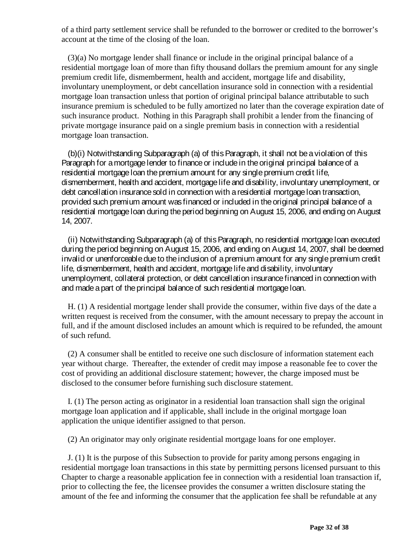of a third party settlement service shall be refunded to the borrower or credited to the borrower's account at the time of the closing of the loan.

 (3)(a) No mortgage lender shall finance or include in the original principal balance of a residential mortgage loan of more than fifty thousand dollars the premium amount for any single premium credit life, dismemberment, health and accident, mortgage life and disability, involuntary unemployment, or debt cancellation insurance sold in connection with a residential mortgage loan transaction unless that portion of original principal balance attributable to such insurance premium is scheduled to be fully amortized no later than the coverage expiration date of such insurance product. Nothing in this Paragraph shall prohibit a lender from the financing of private mortgage insurance paid on a single premium basis in connection with a residential mortgage loan transaction.

 (b)(i) Notwithstanding Subparagraph (a) of this Paragraph, it shall not be a violation of this Paragraph for a mortgage lender to finance or include in the original principal balance of a residential mortgage loan the premium amount for any single premium credit life, dismemberment, health and accident, mortgage life and disability, involuntary unemployment, or debt cancellation insurance sold in connection with a residential mortgage loan transaction, provided such premium amount was financed or included in the original principal balance of a residential mortgage loan during the period beginning on August 15, 2006, and ending on August 14, 2007.

 (ii) Notwithstanding Subparagraph (a) of this Paragraph, no residential mortgage loan executed during the period beginning on August 15, 2006, and ending on August 14, 2007, shall be deemed invalid or unenforceable due to the inclusion of a premium amount for any single premium credit life, dismemberment, health and accident, mortgage life and disability, involuntary unemployment, collateral protection, or debt cancellation insurance financed in connection with and made a part of the principal balance of such residential mortgage loan.

 H. (1) A residential mortgage lender shall provide the consumer, within five days of the date a written request is received from the consumer, with the amount necessary to prepay the account in full, and if the amount disclosed includes an amount which is required to be refunded, the amount of such refund.

 (2) A consumer shall be entitled to receive one such disclosure of information statement each year without charge. Thereafter, the extender of credit may impose a reasonable fee to cover the cost of providing an additional disclosure statement; however, the charge imposed must be disclosed to the consumer before furnishing such disclosure statement.

 I. (1) The person acting as originator in a residential loan transaction shall sign the original mortgage loan application and if applicable, shall include in the original mortgage loan application the unique identifier assigned to that person.

(2) An originator may only originate residential mortgage loans for one employer.

 J. (1) It is the purpose of this Subsection to provide for parity among persons engaging in residential mortgage loan transactions in this state by permitting persons licensed pursuant to this Chapter to charge a reasonable application fee in connection with a residential loan transaction if, prior to collecting the fee, the licensee provides the consumer a written disclosure stating the amount of the fee and informing the consumer that the application fee shall be refundable at any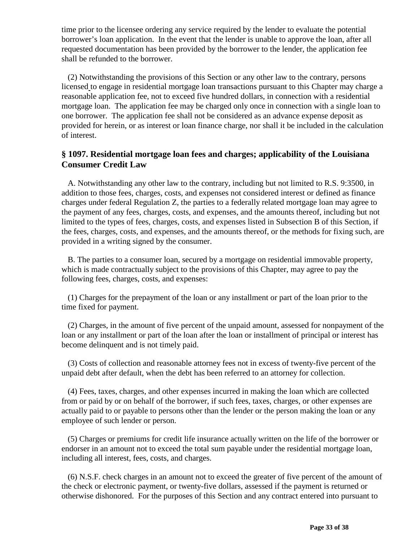time prior to the licensee ordering any service required by the lender to evaluate the potential borrower's loan application. In the event that the lender is unable to approve the loan, after all requested documentation has been provided by the borrower to the lender, the application fee shall be refunded to the borrower.

 (2) Notwithstanding the provisions of this Section or any other law to the contrary, persons licensed to engage in residential mortgage loan transactions pursuant to this Chapter may charge a reasonable application fee, not to exceed five hundred dollars, in connection with a residential mortgage loan. The application fee may be charged only once in connection with a single loan to one borrower. The application fee shall not be considered as an advance expense deposit as provided for herein, or as interest or loan finance charge, nor shall it be included in the calculation of interest.

# **§ 1097. Residential mortgage loan fees and charges; applicability of the Louisiana Consumer Credit Law**

 A. Notwithstanding any other law to the contrary, including but not limited to R.S. 9:3500, in addition to those fees, charges, costs, and expenses not considered interest or defined as finance charges under federal Regulation Z, the parties to a federally related mortgage loan may agree to the payment of any fees, charges, costs, and expenses, and the amounts thereof, including but not limited to the types of fees, charges, costs, and expenses listed in Subsection B of this Section, if the fees, charges, costs, and expenses, and the amounts thereof, or the methods for fixing such, are provided in a writing signed by the consumer.

 B. The parties to a consumer loan, secured by a mortgage on residential immovable property, which is made contractually subject to the provisions of this Chapter, may agree to pay the following fees, charges, costs, and expenses:

 (1) Charges for the prepayment of the loan or any installment or part of the loan prior to the time fixed for payment.

 (2) Charges, in the amount of five percent of the unpaid amount, assessed for nonpayment of the loan or any installment or part of the loan after the loan or installment of principal or interest has become delinquent and is not timely paid.

 (3) Costs of collection and reasonable attorney fees not in excess of twenty-five percent of the unpaid debt after default, when the debt has been referred to an attorney for collection.

 (4) Fees, taxes, charges, and other expenses incurred in making the loan which are collected from or paid by or on behalf of the borrower, if such fees, taxes, charges, or other expenses are actually paid to or payable to persons other than the lender or the person making the loan or any employee of such lender or person.

 (5) Charges or premiums for credit life insurance actually written on the life of the borrower or endorser in an amount not to exceed the total sum payable under the residential mortgage loan, including all interest, fees, costs, and charges.

 (6) N.S.F. check charges in an amount not to exceed the greater of five percent of the amount of the check or electronic payment, or twenty-five dollars, assessed if the payment is returned or otherwise dishonored. For the purposes of this Section and any contract entered into pursuant to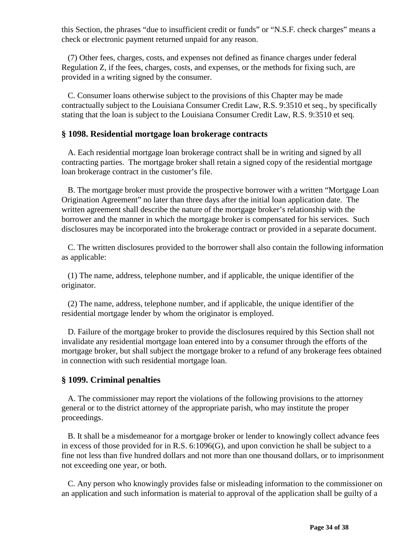this Section, the phrases "due to insufficient credit or funds" or "N.S.F. check charges" means a check or electronic payment returned unpaid for any reason.

 (7) Other fees, charges, costs, and expenses not defined as finance charges under federal Regulation Z, if the fees, charges, costs, and expenses, or the methods for fixing such, are provided in a writing signed by the consumer.

 C. Consumer loans otherwise subject to the provisions of this Chapter may be made contractually subject to the Louisiana Consumer Credit Law, R.S. 9:3510 et seq., by specifically stating that the loan is subject to the Louisiana Consumer Credit Law, R.S. 9:3510 et seq.

#### **§ 1098. Residential mortgage loan brokerage contracts**

 A. Each residential mortgage loan brokerage contract shall be in writing and signed by all contracting parties. The mortgage broker shall retain a signed copy of the residential mortgage loan brokerage contract in the customer's file.

 B. The mortgage broker must provide the prospective borrower with a written "Mortgage Loan Origination Agreement" no later than three days after the initial loan application date. The written agreement shall describe the nature of the mortgage broker's relationship with the borrower and the manner in which the mortgage broker is compensated for his services. Such disclosures may be incorporated into the brokerage contract or provided in a separate document.

 C. The written disclosures provided to the borrower shall also contain the following information as applicable:

 (1) The name, address, telephone number, and if applicable, the unique identifier of the originator.

 (2) The name, address, telephone number, and if applicable, the unique identifier of the residential mortgage lender by whom the originator is employed.

 D. Failure of the mortgage broker to provide the disclosures required by this Section shall not invalidate any residential mortgage loan entered into by a consumer through the efforts of the mortgage broker, but shall subject the mortgage broker to a refund of any brokerage fees obtained in connection with such residential mortgage loan.

### **§ 1099. Criminal penalties**

 A. The commissioner may report the violations of the following provisions to the attorney general or to the district attorney of the appropriate parish, who may institute the proper proceedings.

 B. It shall be a misdemeanor for a mortgage broker or lender to knowingly collect advance fees in excess of those provided for in R.S. 6:1096(G), and upon conviction he shall be subject to a fine not less than five hundred dollars and not more than one thousand dollars, or to imprisonment not exceeding one year, or both.

 C. Any person who knowingly provides false or misleading information to the commissioner on an application and such information is material to approval of the application shall be guilty of a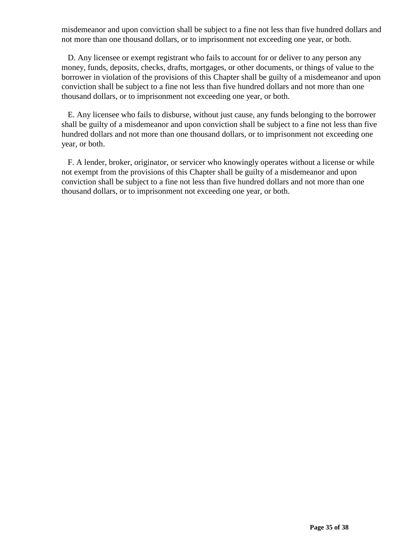misdemeanor and upon conviction shall be subject to a fine not less than five hundred dollars and not more than one thousand dollars, or to imprisonment not exceeding one year, or both.

 D. Any licensee or exempt registrant who fails to account for or deliver to any person any money, funds, deposits, checks, drafts, mortgages, or other documents, or things of value to the borrower in violation of the provisions of this Chapter shall be guilty of a misdemeanor and upon conviction shall be subject to a fine not less than five hundred dollars and not more than one thousand dollars, or to imprisonment not exceeding one year, or both.

 E. Any licensee who fails to disburse, without just cause, any funds belonging to the borrower shall be guilty of a misdemeanor and upon conviction shall be subject to a fine not less than five hundred dollars and not more than one thousand dollars, or to imprisonment not exceeding one year, or both.

 F. A lender, broker, originator, or servicer who knowingly operates without a license or while not exempt from the provisions of this Chapter shall be guilty of a misdemeanor and upon conviction shall be subject to a fine not less than five hundred dollars and not more than one thousand dollars, or to imprisonment not exceeding one year, or both.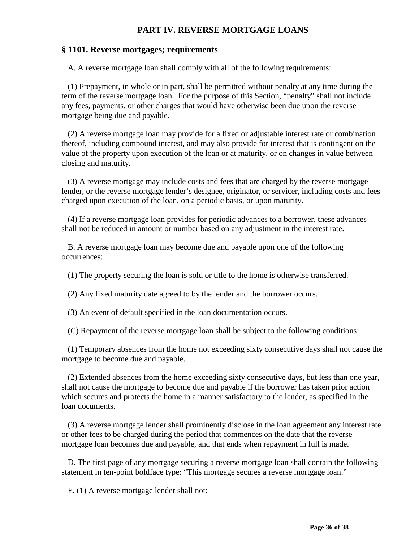# **PART IV. REVERSE MORTGAGE LOANS**

#### **§ 1101. Reverse mortgages; requirements**

A. A reverse mortgage loan shall comply with all of the following requirements:

 (1) Prepayment, in whole or in part, shall be permitted without penalty at any time during the term of the reverse mortgage loan. For the purpose of this Section, "penalty" shall not include any fees, payments, or other charges that would have otherwise been due upon the reverse mortgage being due and payable.

 (2) A reverse mortgage loan may provide for a fixed or adjustable interest rate or combination thereof, including compound interest, and may also provide for interest that is contingent on the value of the property upon execution of the loan or at maturity, or on changes in value between closing and maturity.

 (3) A reverse mortgage may include costs and fees that are charged by the reverse mortgage lender, or the reverse mortgage lender's designee, originator, or servicer, including costs and fees charged upon execution of the loan, on a periodic basis, or upon maturity.

 (4) If a reverse mortgage loan provides for periodic advances to a borrower, these advances shall not be reduced in amount or number based on any adjustment in the interest rate.

 B. A reverse mortgage loan may become due and payable upon one of the following occurrences:

(1) The property securing the loan is sold or title to the home is otherwise transferred.

(2) Any fixed maturity date agreed to by the lender and the borrower occurs.

(3) An event of default specified in the loan documentation occurs.

(C) Repayment of the reverse mortgage loan shall be subject to the following conditions:

 (1) Temporary absences from the home not exceeding sixty consecutive days shall not cause the mortgage to become due and payable.

 (2) Extended absences from the home exceeding sixty consecutive days, but less than one year, shall not cause the mortgage to become due and payable if the borrower has taken prior action which secures and protects the home in a manner satisfactory to the lender, as specified in the loan documents.

 (3) A reverse mortgage lender shall prominently disclose in the loan agreement any interest rate or other fees to be charged during the period that commences on the date that the reverse mortgage loan becomes due and payable, and that ends when repayment in full is made.

 D. The first page of any mortgage securing a reverse mortgage loan shall contain the following statement in ten-point boldface type: "This mortgage secures a reverse mortgage loan."

E. (1) A reverse mortgage lender shall not: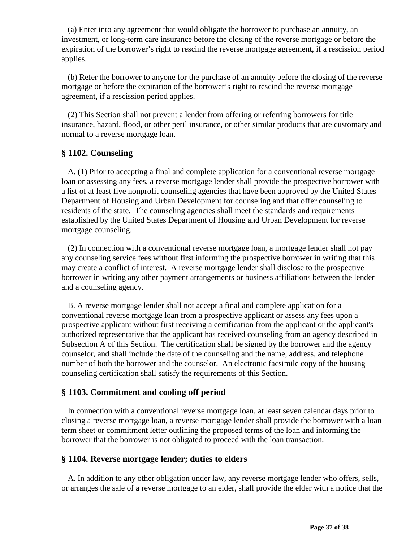(a) Enter into any agreement that would obligate the borrower to purchase an annuity, an investment, or long-term care insurance before the closing of the reverse mortgage or before the expiration of the borrower's right to rescind the reverse mortgage agreement, if a rescission period applies.

 (b) Refer the borrower to anyone for the purchase of an annuity before the closing of the reverse mortgage or before the expiration of the borrower's right to rescind the reverse mortgage agreement, if a rescission period applies.

 (2) This Section shall not prevent a lender from offering or referring borrowers for title insurance, hazard, flood, or other peril insurance, or other similar products that are customary and normal to a reverse mortgage loan.

### **§ 1102. Counseling**

 A. (1) Prior to accepting a final and complete application for a conventional reverse mortgage loan or assessing any fees, a reverse mortgage lender shall provide the prospective borrower with a list of at least five nonprofit counseling agencies that have been approved by the United States Department of Housing and Urban Development for counseling and that offer counseling to residents of the state. The counseling agencies shall meet the standards and requirements established by the United States Department of Housing and Urban Development for reverse mortgage counseling.

 (2) In connection with a conventional reverse mortgage loan, a mortgage lender shall not pay any counseling service fees without first informing the prospective borrower in writing that this may create a conflict of interest. A reverse mortgage lender shall disclose to the prospective borrower in writing any other payment arrangements or business affiliations between the lender and a counseling agency.

 B. A reverse mortgage lender shall not accept a final and complete application for a conventional reverse mortgage loan from a prospective applicant or assess any fees upon a prospective applicant without first receiving a certification from the applicant or the applicant's authorized representative that the applicant has received counseling from an agency described in Subsection A of this Section. The certification shall be signed by the borrower and the agency counselor, and shall include the date of the counseling and the name, address, and telephone number of both the borrower and the counselor. An electronic facsimile copy of the housing counseling certification shall satisfy the requirements of this Section.

### **§ 1103. Commitment and cooling off period**

 In connection with a conventional reverse mortgage loan, at least seven calendar days prior to closing a reverse mortgage loan, a reverse mortgage lender shall provide the borrower with a loan term sheet or commitment letter outlining the proposed terms of the loan and informing the borrower that the borrower is not obligated to proceed with the loan transaction.

### **§ 1104. Reverse mortgage lender; duties to elders**

 A. In addition to any other obligation under law, any reverse mortgage lender who offers, sells, or arranges the sale of a reverse mortgage to an elder, shall provide the elder with a notice that the